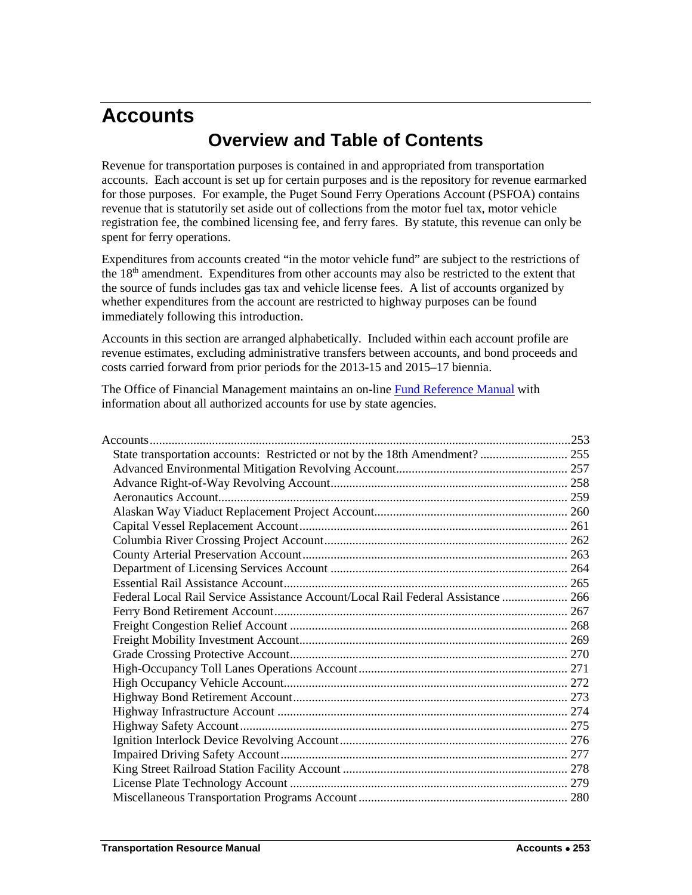# <span id="page-0-0"></span>**Accounts Overview and Table of Contents**

Revenue for transportation purposes is contained in and appropriated from transportation accounts. Each account is set up for certain purposes and is the repository for revenue earmarked for those purposes. For example, the Puget Sound Ferry Operations Account (PSFOA) contains revenue that is statutorily set aside out of collections from the motor fuel tax, motor vehicle registration fee, the combined licensing fee, and ferry fares. By statute, this revenue can only be spent for ferry operations.

Expenditures from accounts created "in the motor vehicle fund" are subject to the restrictions of the 18<sup>th</sup> amendment. Expenditures from other accounts may also be restricted to the extent that the source of funds includes gas tax and vehicle license fees. A list of accounts organized by whether expenditures from the account are restricted to highway purposes can be found immediately following this introduction.

Accounts in this section are arranged alphabetically. Included within each account profile are revenue estimates, excluding administrative transfers between accounts, and bond proceeds and costs carried forward from prior periods for the 2013-15 and 2015–17 biennia.

The Office of Financial Management maintains an on-line [Fund Reference Manual](http://www.ofm.wa.gov/fund/default.asp) with information about all authorized accounts for use by state agencies.

| State transportation accounts: Restricted or not by the 18th Amendment?  255     |  |
|----------------------------------------------------------------------------------|--|
|                                                                                  |  |
|                                                                                  |  |
|                                                                                  |  |
|                                                                                  |  |
|                                                                                  |  |
|                                                                                  |  |
|                                                                                  |  |
|                                                                                  |  |
|                                                                                  |  |
| Federal Local Rail Service Assistance Account/Local Rail Federal Assistance  266 |  |
|                                                                                  |  |
|                                                                                  |  |
|                                                                                  |  |
|                                                                                  |  |
|                                                                                  |  |
|                                                                                  |  |
|                                                                                  |  |
|                                                                                  |  |
|                                                                                  |  |
|                                                                                  |  |
|                                                                                  |  |
|                                                                                  |  |
|                                                                                  |  |
|                                                                                  |  |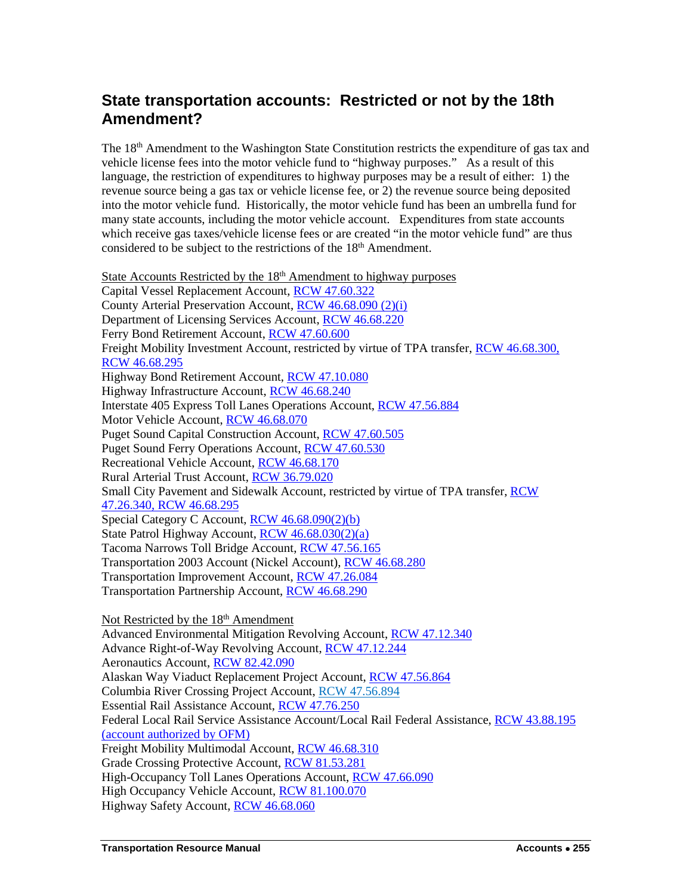## <span id="page-2-0"></span>**State transportation accounts: Restricted or not by the 18th Amendment?**

The 18<sup>th</sup> Amendment to the Washington State Constitution restricts the expenditure of gas tax and vehicle license fees into the motor vehicle fund to "highway purposes." As a result of this language, the restriction of expenditures to highway purposes may be a result of either: 1) the revenue source being a gas tax or vehicle license fee, or 2) the revenue source being deposited into the motor vehicle fund. Historically, the motor vehicle fund has been an umbrella fund for many state accounts, including the motor vehicle account. Expenditures from state accounts which receive gas taxes/vehicle license fees or are created "in the motor vehicle fund" are thus considered to be subject to the restrictions of the 18<sup>th</sup> Amendment.

State Accounts Restricted by the  $18<sup>th</sup>$  Amendment to highway purposes Capital Vessel Replacement Account, [RCW 47.60.322](http://apps.leg.wa.gov/rcw/default.aspx?cite=47.60.322) County Arterial Preservation Account, [RCW 46.68.090 \(2\)\(i\)](http://apps.leg.wa.gov/rcw/default.aspx?cite=46.68.090) Department of Licensing Services Account, [RCW 46.68.220](http://apps.leg.wa.gov/rcw/default.aspx?cite=46.68.220) Ferry Bond Retirement Account, [RCW 47.60.600](http://apps.leg.wa.gov/rcw/default.aspx?cite=47.60.600) Freight Mobility Investment Account, restricted by virtue of TPA transfer, [RCW 46.68.300,](http://apps.leg.wa.gov/rcw/default.aspx?cite=46.68.300) [RCW 46.68.295](http://apps.leg.wa.gov/rcw/default.aspx?cite=46.68.295) Highway Bond Retirement Account, [RCW 47.10.080](http://apps.leg.wa.gov/rcw/default.aspx?cite=47.10.080) Highway Infrastructure Account, [RCW 46.68.240](http://apps.leg.wa.gov/rcw/default.aspx?cite=46.68.240) Interstate 405 Express Toll Lanes Operations Account, [RCW 47.56.884](http://apps.leg.wa.gov/rcw/default.aspx?cite=47.56.884) Motor Vehicle Account, [RCW 46.68.070](http://apps.leg.wa.gov/rcw/default.aspx?cite=46.68.070) Puget Sound Capital Construction Account, [RCW 47.60.505](http://apps.leg.wa.gov/rcw/default.aspx?cite=47.60.505) Puget Sound Ferry Operations Account, [RCW 47.60.530](http://apps.leg.wa.gov/rcw/default.aspx?cite=47.60.530) Recreational Vehicle Account, [RCW 46.68.170](http://apps.leg.wa.gov/rcw/default.aspx?cite=46.68.170) Rural Arterial Trust Account, [RCW 36.79.020](http://apps.leg.wa.gov/rcw/default.aspx?cite=36.79.020) Small City Pavement and Sidewalk Account, restricted by virtue of TPA transfer, RCW [47.26.340,](http://apps.leg.wa.gov/rcw/default.aspx?cite=47.26.340) [RCW 46.68.295](http://apps.leg.wa.gov/rcw/default.aspx?cite=46.68.295) Special Category C Account, [RCW 46.68.090\(2\)\(b\)](http://apps.leg.wa.gov/rcw/default.aspx?cite=46.68.090) State Patrol Highway Account[, RCW 46.68.030\(2\)\(a\)](http://apps.leg.wa.gov/rcw/default.aspx?cite=46.68.030) Tacoma Narrows Toll Bridge Account, [RCW 47.56.165](http://apps.leg.wa.gov/rcw/default.aspx?cite=47.56.165) Transportation 2003 Account (Nickel Account), [RCW 46.68.280](http://apps.leg.wa.gov/rcw/default.aspx?cite=46.68.280) Transportation Improvement Account, [RCW 47.26.084](http://apps.leg.wa.gov/rcw/default.aspx?cite=47.26.084) Transportation Partnership Account, [RCW 46.68.290](http://apps.leg.wa.gov/rcw/default.aspx?cite=46.68.290) Not Restricted by the 18<sup>th</sup> Amendment Advanced Environmental Mitigation Revolving Account, [RCW 47.12.340](http://apps.leg.wa.gov/rcw/default.aspx?cite=47.12.340) Advance Right-of-Way Revolving Account, [RCW 47.12.244](http://apps.leg.wa.gov/rcw/default.aspx?cite=47.12.244) Aeronautics Account[, RCW 82.42.090](http://apps.leg.wa.gov/rcw/default.aspx?cite=82.42.090) Alaskan Way Viaduct Replacement Project Account[, RCW 47.56.864](http://apps.leg.wa.gov/rcw/default.aspx?cite=47.56.864) Columbia River Crossing Project Account, [RCW 47.56.894](http://apps.leg.wa.gov/rcw/default.aspx?cite=47.56.894)  Essential Rail Assistance Account, [RCW 47.76.250](http://apps.leg.wa.gov/rcw/default.aspx?cite=47.76.250) Federal Local Rail Service Assistance Account/Local Rail Federal Assistance, [RCW 43.88.195](http://apps.leg.wa.gov/RCW/default.aspx?cite=43.88.195)

(account authorized by OFM)

Freight Mobility Multimodal Account, [RCW 46.68.310](http://apps.leg.wa.gov/rcw/default.aspx?cite=46.68.310)

Grade Crossing Protective Account, [RCW 81.53.281](http://apps.leg.wa.gov/rcw/default.aspx?cite=81.53.281)

High-Occupancy Toll Lanes Operations Account, [RCW 47.66.090](http://apps.leg.wa.gov/rcw/default.aspx?cite=47.66.090)

High Occupancy Vehicle Account[, RCW 81.100.070](http://apps.leg.wa.gov/rcw/default.aspx?cite=81.100.070)

Highway Safety Account[, RCW 46.68.060](http://apps.leg.wa.gov/rcw/default.aspx?cite=46.68.060)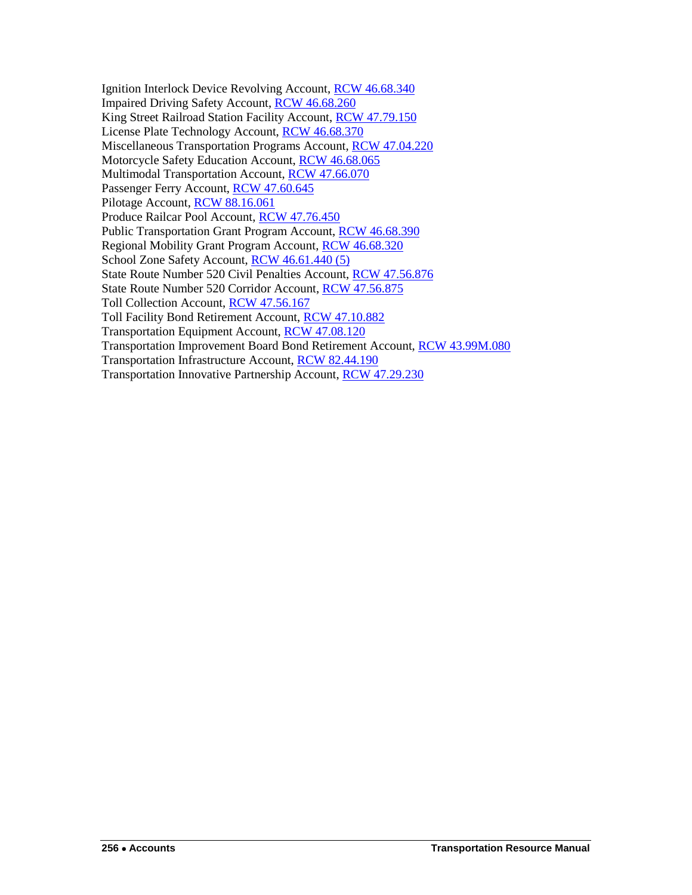Ignition Interlock Device Revolving Account, [RCW 46.68.340](http://apps.leg.wa.gov/rcw/default.aspx?cite=46.68.340) Impaired Driving Safety Account, [RCW 46.68.260](http://apps.leg.wa.gov/rcw/default.aspx?cite=46.68.260) King Street Railroad Station Facility Account, [RCW 47.79.150](http://apps.leg.wa.gov/rcw/default.aspx?cite=47.79.150) License Plate Technology Account, [RCW 46.68.370](http://apps.leg.wa.gov/rcw/default.aspx?cite=46.68.370) Miscellaneous Transportation Programs Account, [RCW 47.04.220](http://apps.leg.wa.gov/rcw/default.aspx?cite=47.04.220) Motorcycle Safety Education Account, [RCW 46.68.065](http://apps.leg.wa.gov/rcw/default.aspx?cite=46.68.065) Multimodal Transportation Account, [RCW 47.66.070](http://apps.leg.wa.gov/rcw/default.aspx?cite=47.66.070) Passenger Ferry Account, [RCW 47.60.645](http://apps.leg.wa.gov/rcw/default.aspx?cite=47.60.645) Pilotage Account, [RCW 88.16.061](http://apps.leg.wa.gov/rcw/default.aspx?cite=88.16.061) Produce Railcar Pool Account, [RCW 47.76.450](http://apps.leg.wa.gov/rcw/default.aspx?cite=47.76.450) Public Transportation Grant Program Account, [RCW 46.68.390](http://apps.leg.wa.gov/rcw/default.aspx?cite=46.68.390) Regional Mobility Grant Program Account, [RCW 46.68.320](http://apps.leg.wa.gov/rcw/default.aspx?cite=46.68.320) School Zone Safety Account, [RCW 46.61.440 \(5\)](http://apps.leg.wa.gov/rcw/default.aspx?cite=46.61.440) State Route Number 520 Civil Penalties Account, [RCW 47.56.876](http://apps.leg.wa.gov/rcw/default.aspx?cite=47.56.876) State Route Number 520 Corridor Account, [RCW 47.56.875](http://apps.leg.wa.gov/rcw/default.aspx?cite=47.56.875) Toll Collection Account, [RCW 47.56.167](http://apps.leg.wa.gov/rcw/default.aspx?cite=47.56.167) Toll Facility Bond Retirement Account, [RCW 47.10.882](http://apps.leg.wa.gov/rcw/default.aspx?cite=47.10.882) Transportation Equipment Account, [RCW 47.08.120](http://apps.leg.wa.gov/rcw/default.aspx?cite=47.08.120) Transportation Improvement Board Bond Retirement Account, [RCW 43.99M.080](http://apps.leg.wa.gov/rcw/default.aspx?cite=43.99M.080) Transportation Infrastructure Account, [RCW 82.44.190](http://apps.leg.wa.gov/RCW/default.aspx?cite=82.44.190) Transportation Innovative Partnership Account, [RCW 47.29.230](http://apps.leg.wa.gov/RCW/default.aspx?cite=47.29.230)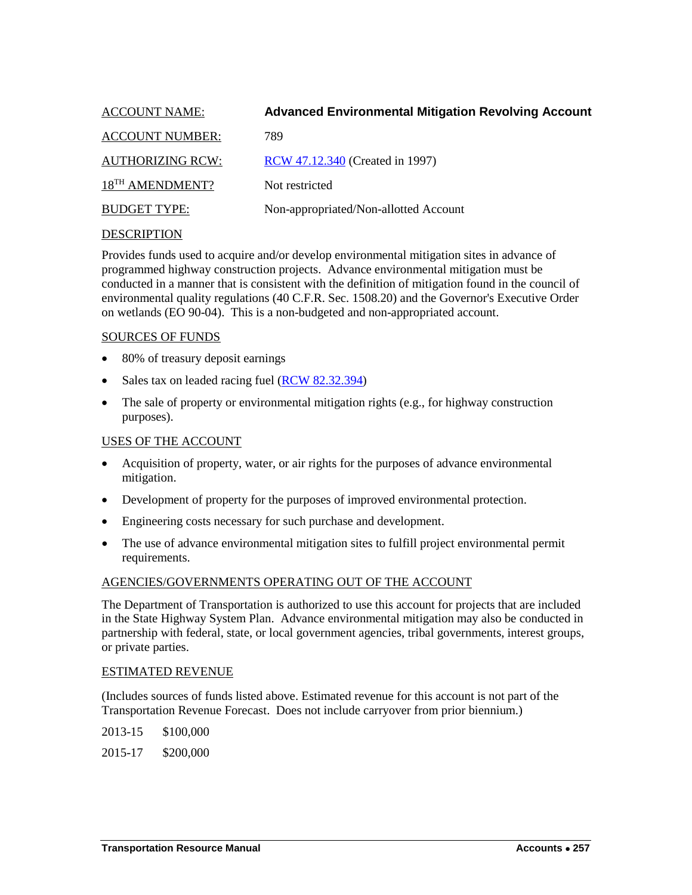<span id="page-4-0"></span>

| <b>ACCOUNT NAME:</b>        | <b>Advanced Environmental Mitigation Revolving Account</b> |
|-----------------------------|------------------------------------------------------------|
| <b>ACCOUNT NUMBER:</b>      | 789                                                        |
| <b>AUTHORIZING RCW:</b>     | RCW 47.12.340 (Created in 1997)                            |
| 18 <sup>TH</sup> AMENDMENT? | Not restricted                                             |
| <b>BUDGET TYPE:</b>         | Non-appropriated/Non-allotted Account                      |

Provides funds used to acquire and/or develop environmental mitigation sites in advance of programmed highway construction projects. Advance environmental mitigation must be conducted in a manner that is consistent with the definition of mitigation found in the council of environmental quality regulations (40 C.F.R. Sec. 1508.20) and the Governor's Executive Order on wetlands (EO 90-04). This is a non-budgeted and non-appropriated account.

#### SOURCES OF FUNDS

- 80% of treasury deposit earnings
- Sales tax on leaded racing fuel [\(RCW 82.32.394\)](http://apps.leg.wa.gov/rcw/default.aspx?cite=82.32.394)
- The sale of property or environmental mitigation rights (e.g., for highway construction purposes).

#### USES OF THE ACCOUNT

- Acquisition of property, water, or air rights for the purposes of advance environmental mitigation.
- Development of property for the purposes of improved environmental protection.
- Engineering costs necessary for such purchase and development.
- The use of advance environmental mitigation sites to fulfill project environmental permit requirements.

#### AGENCIES/GOVERNMENTS OPERATING OUT OF THE ACCOUNT

The Department of Transportation is authorized to use this account for projects that are included in the State Highway System Plan. Advance environmental mitigation may also be conducted in partnership with federal, state, or local government agencies, tribal governments, interest groups, or private parties.

#### ESTIMATED REVENUE

(Includes sources of funds listed above. Estimated revenue for this account is not part of the Transportation Revenue Forecast. Does not include carryover from prior biennium.)

2013-15 \$100,000 2015-17 \$200,000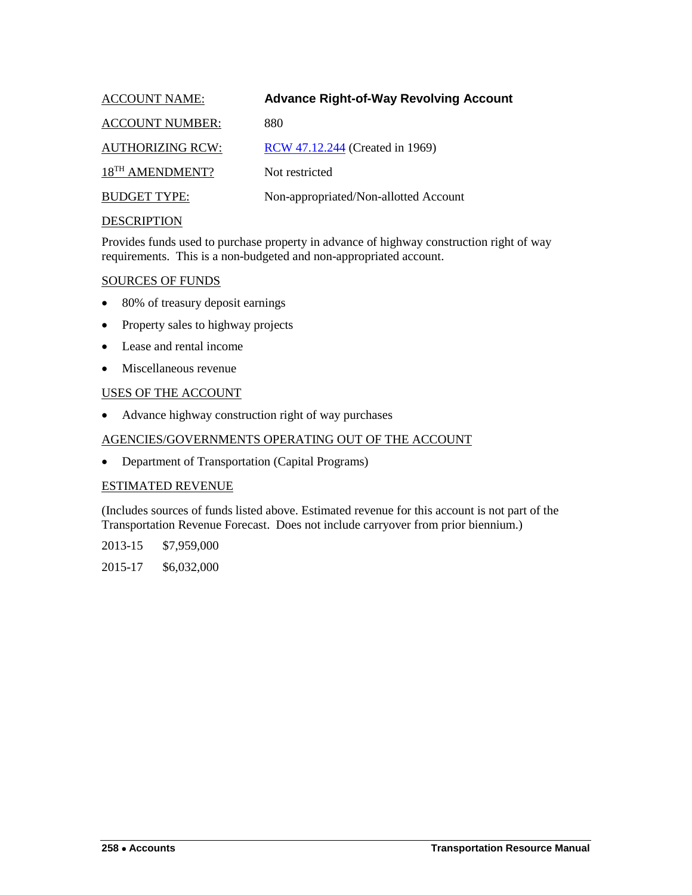<span id="page-5-0"></span>

| <b>ACCOUNT NAME:</b>        | <b>Advance Right-of-Way Revolving Account</b> |
|-----------------------------|-----------------------------------------------|
| <b>ACCOUNT NUMBER:</b>      | 880                                           |
| <b>AUTHORIZING RCW:</b>     | RCW 47.12.244 (Created in 1969)               |
| 18 <sup>TH</sup> AMENDMENT? | Not restricted                                |
| <b>BUDGET TYPE:</b>         | Non-appropriated/Non-allotted Account         |
|                             |                                               |

Provides funds used to purchase property in advance of highway construction right of way requirements. This is a non-budgeted and non-appropriated account.

#### SOURCES OF FUNDS

- 80% of treasury deposit earnings
- Property sales to highway projects
- Lease and rental income
- Miscellaneous revenue

#### USES OF THE ACCOUNT

• Advance highway construction right of way purchases

#### AGENCIES/GOVERNMENTS OPERATING OUT OF THE ACCOUNT

• Department of Transportation (Capital Programs)

#### ESTIMATED REVENUE

(Includes sources of funds listed above. Estimated revenue for this account is not part of the Transportation Revenue Forecast. Does not include carryover from prior biennium.)

2013-15 \$7,959,000

2015-17 \$6,032,000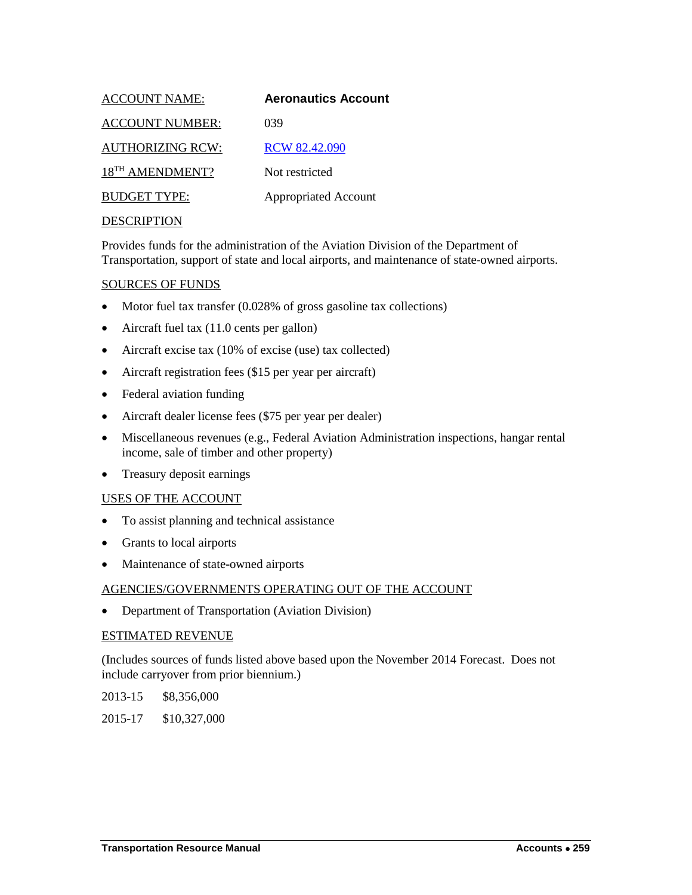<span id="page-6-0"></span>

| <b>ACCOUNT NAME:</b>        | <b>Aeronautics Account</b>  |
|-----------------------------|-----------------------------|
| <b>ACCOUNT NUMBER:</b>      | 039                         |
| <b>AUTHORIZING RCW:</b>     | <b>RCW 82.42.090</b>        |
| 18 <sup>TH</sup> AMENDMENT? | Not restricted              |
| <b>BUDGET TYPE:</b>         | <b>Appropriated Account</b> |
| <b>DECODIDEIOM</b>          |                             |

Provides funds for the administration of the Aviation Division of the Department of Transportation, support of state and local airports, and maintenance of state-owned airports.

#### SOURCES OF FUNDS

- Motor fuel tax transfer (0.028% of gross gasoline tax collections)
- Aircraft fuel tax (11.0 cents per gallon)
- Aircraft excise tax (10% of excise (use) tax collected)
- Aircraft registration fees (\$15 per year per aircraft)
- Federal aviation funding
- Aircraft dealer license fees (\$75 per year per dealer)
- Miscellaneous revenues (e.g., Federal Aviation Administration inspections, hangar rental income, sale of timber and other property)
- Treasury deposit earnings

#### USES OF THE ACCOUNT

- To assist planning and technical assistance
- Grants to local airports
- Maintenance of state-owned airports

#### AGENCIES/GOVERNMENTS OPERATING OUT OF THE ACCOUNT

• Department of Transportation (Aviation Division)

#### ESTIMATED REVENUE

(Includes sources of funds listed above based upon the November 2014 Forecast. Does not include carryover from prior biennium.)

2013-15 \$8,356,000

2015-17 \$10,327,000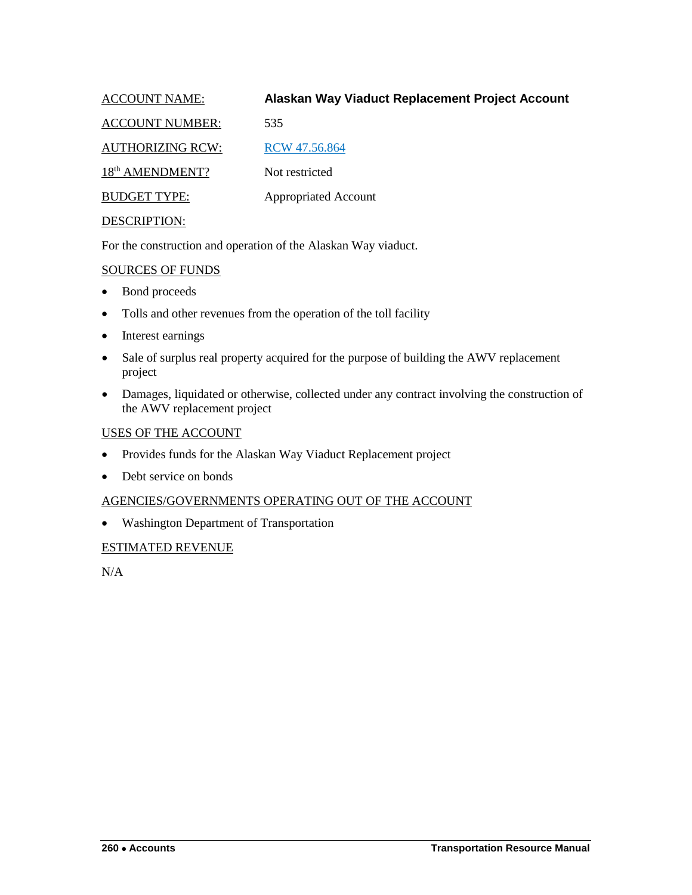<span id="page-7-0"></span>ACCOUNT NAME: **Alaskan Way Viaduct Replacement Project Account**

ACCOUNT NUMBER: 535

AUTHORIZING RCW: RCW 47.56.864

18<sup>th</sup> AMENDMENT? Not restricted

BUDGET TYPE: Appropriated Account

## DESCRIPTION:

For the construction and operation of the Alaskan Way viaduct.

## SOURCES OF FUNDS

- Bond proceeds
- Tolls and other revenues from the operation of the toll facility
- Interest earnings
- Sale of surplus real property acquired for the purpose of building the AWV replacement project
- Damages, liquidated or otherwise, collected under any contract involving the construction of the AWV replacement project

## USES OF THE ACCOUNT

- Provides funds for the Alaskan Way Viaduct Replacement project
- Debt service on bonds

## AGENCIES/GOVERNMENTS OPERATING OUT OF THE ACCOUNT

• Washington Department of Transportation

## ESTIMATED REVENUE

N/A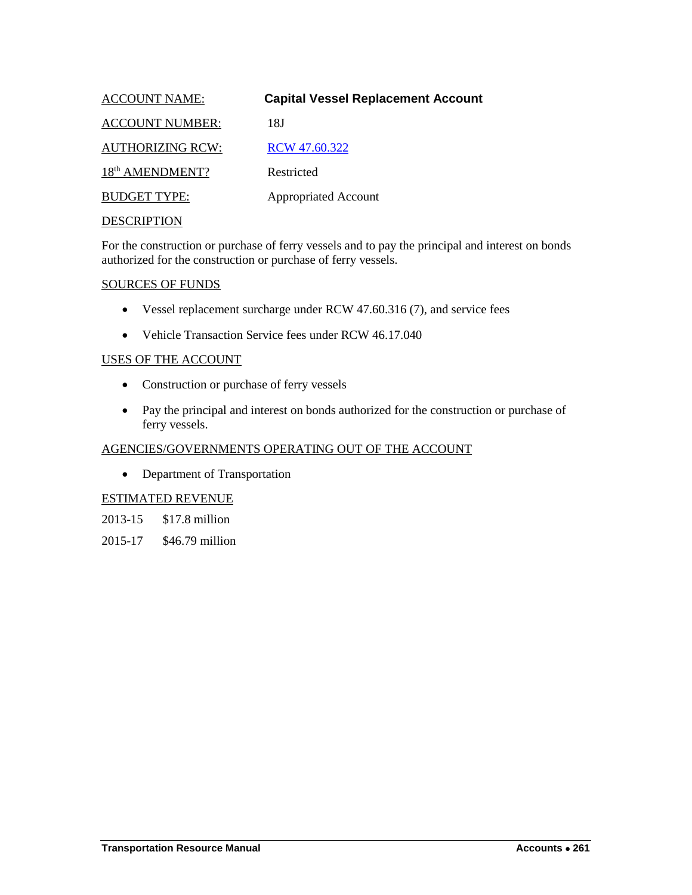<span id="page-8-0"></span>

| <b>ACCOUNT NAME:</b>        | <b>Capital Vessel Replacement Account</b> |
|-----------------------------|-------------------------------------------|
| <b>ACCOUNT NUMBER:</b>      | 18J                                       |
| <b>AUTHORIZING RCW:</b>     | RCW 47.60.322                             |
| 18 <sup>th</sup> AMENDMENT? | Restricted                                |
| <b>BUDGET TYPE:</b>         | <b>Appropriated Account</b>               |
| <b>DECODIDEIONI</b>         |                                           |

For the construction or purchase of ferry vessels and to pay the principal and interest on bonds authorized for the construction or purchase of ferry vessels.

#### SOURCES OF FUNDS

- Vessel replacement surcharge under RCW 47.60.316 (7), and service fees
- Vehicle Transaction Service fees under RCW 46.17.040

## USES OF THE ACCOUNT

- Construction or purchase of ferry vessels
- Pay the principal and interest on bonds authorized for the construction or purchase of ferry vessels.

## AGENCIES/GOVERNMENTS OPERATING OUT OF THE ACCOUNT

• Department of Transportation

## ESTIMATED REVENUE

2013-15 \$17.8 million

2015-17 \$46.79 million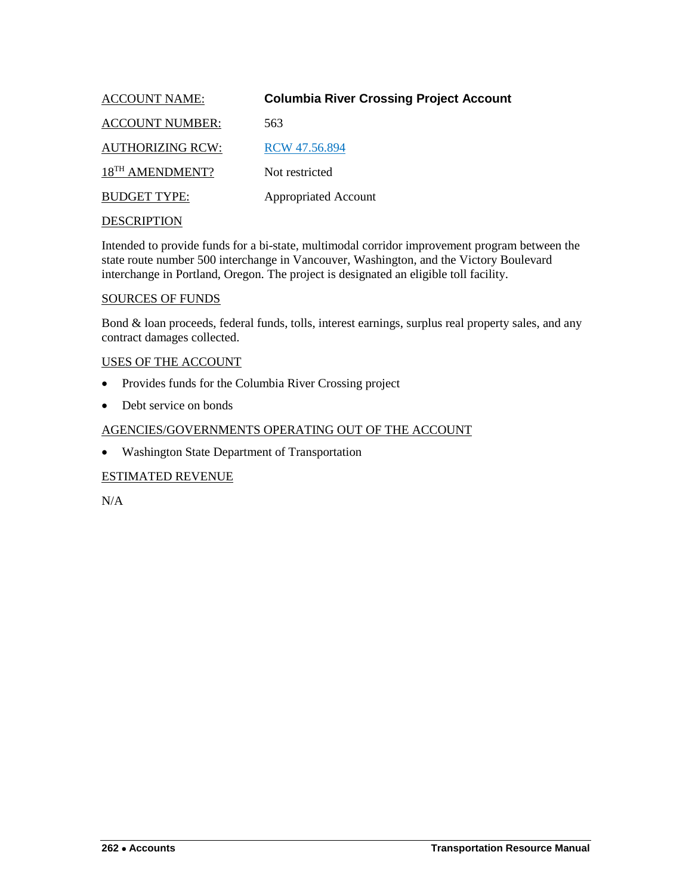<span id="page-9-0"></span>

| <b>ACCOUNT NAME:</b>        | <b>Columbia River Crossing Project Account</b> |
|-----------------------------|------------------------------------------------|
| <b>ACCOUNT NUMBER:</b>      | 563                                            |
| <b>AUTHORIZING RCW:</b>     | RCW 47.56.894                                  |
| 18 <sup>TH</sup> AMENDMENT? | Not restricted                                 |
| <b>BUDGET TYPE:</b>         | <b>Appropriated Account</b>                    |
|                             |                                                |

Intended to provide funds for a bi-state, multimodal corridor improvement program between the state route number 500 interchange in Vancouver, Washington, and the Victory Boulevard interchange in Portland, Oregon. The project is designated an eligible toll facility.

#### SOURCES OF FUNDS

Bond & loan proceeds, federal funds, tolls, interest earnings, surplus real property sales, and any contract damages collected.

#### USES OF THE ACCOUNT

- Provides funds for the Columbia River Crossing project
- Debt service on bonds

## AGENCIES/GOVERNMENTS OPERATING OUT OF THE ACCOUNT

• Washington State Department of Transportation

## ESTIMATED REVENUE

N/A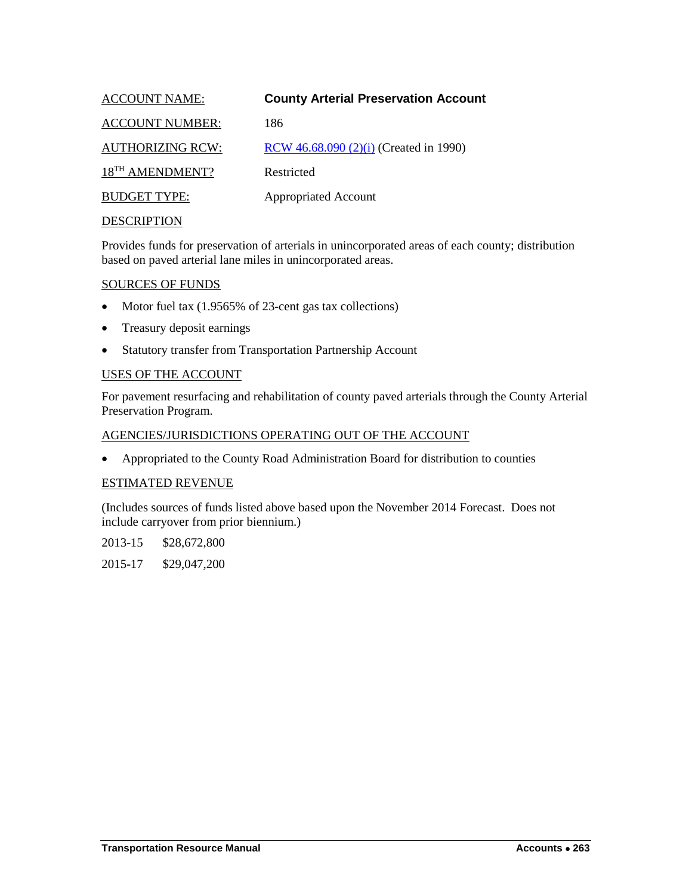<span id="page-10-0"></span>

| <b>ACCOUNT NAME:</b>        | <b>County Arterial Preservation Account</b> |
|-----------------------------|---------------------------------------------|
| <b>ACCOUNT NUMBER:</b>      | 186                                         |
| <b>AUTHORIZING RCW:</b>     | RCW 46.68.090 (2)(i) (Created in 1990)      |
| 18 <sup>TH</sup> AMENDMENT? | Restricted                                  |
| <b>BUDGET TYPE:</b>         | <b>Appropriated Account</b>                 |
| DECCD IDTION                |                                             |

Provides funds for preservation of arterials in unincorporated areas of each county; distribution based on paved arterial lane miles in unincorporated areas.

#### SOURCES OF FUNDS

- Motor fuel tax (1.9565% of 23-cent gas tax collections)
- Treasury deposit earnings
- Statutory transfer from Transportation Partnership Account

#### USES OF THE ACCOUNT

For pavement resurfacing and rehabilitation of county paved arterials through the County Arterial Preservation Program.

#### AGENCIES/JURISDICTIONS OPERATING OUT OF THE ACCOUNT

• Appropriated to the County Road Administration Board for distribution to counties

#### ESTIMATED REVENUE

(Includes sources of funds listed above based upon the November 2014 Forecast. Does not include carryover from prior biennium.)

2013-15 \$28,672,800

2015-17 \$29,047,200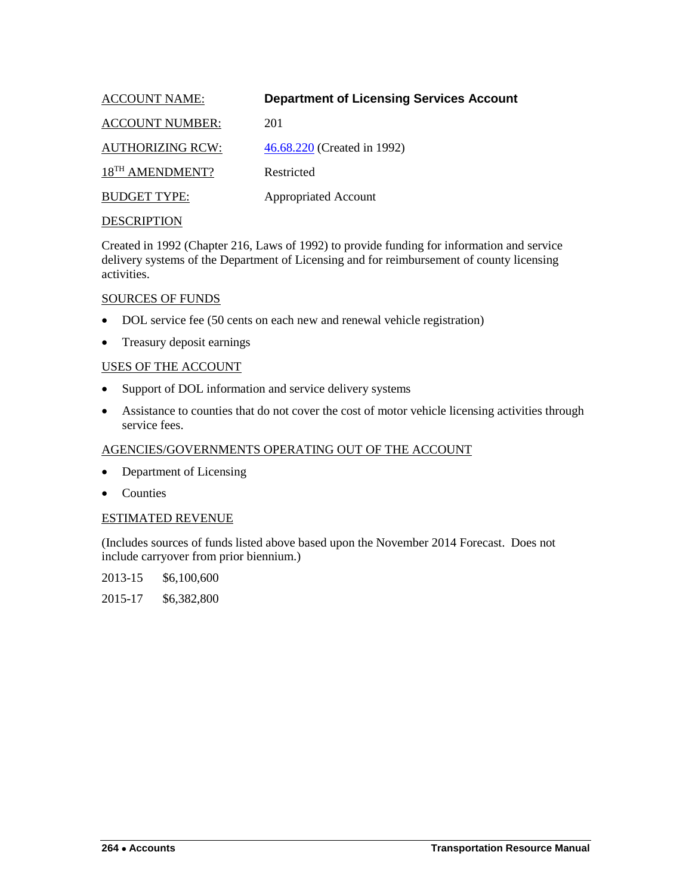<span id="page-11-0"></span>

| <b>ACCOUNT NAME:</b>        | <b>Department of Licensing Services Account</b> |
|-----------------------------|-------------------------------------------------|
| <b>ACCOUNT NUMBER:</b>      | 201                                             |
| <b>AUTHORIZING RCW:</b>     | 46.68.220 (Created in 1992)                     |
| 18 <sup>TH</sup> AMENDMENT? | Restricted                                      |
| <b>BUDGET TYPE:</b>         | <b>Appropriated Account</b>                     |
|                             |                                                 |

Created in 1992 (Chapter 216, Laws of 1992) to provide funding for information and service delivery systems of the Department of Licensing and for reimbursement of county licensing activities.

#### SOURCES OF FUNDS

- DOL service fee (50 cents on each new and renewal vehicle registration)
- Treasury deposit earnings

#### USES OF THE ACCOUNT

- Support of DOL information and service delivery systems
- Assistance to counties that do not cover the cost of motor vehicle licensing activities through service fees.

## AGENCIES/GOVERNMENTS OPERATING OUT OF THE ACCOUNT

- Department of Licensing
- Counties

#### ESTIMATED REVENUE

(Includes sources of funds listed above based upon the November 2014 Forecast. Does not include carryover from prior biennium.)

2013-15 \$6,100,600

2015-17 \$6,382,800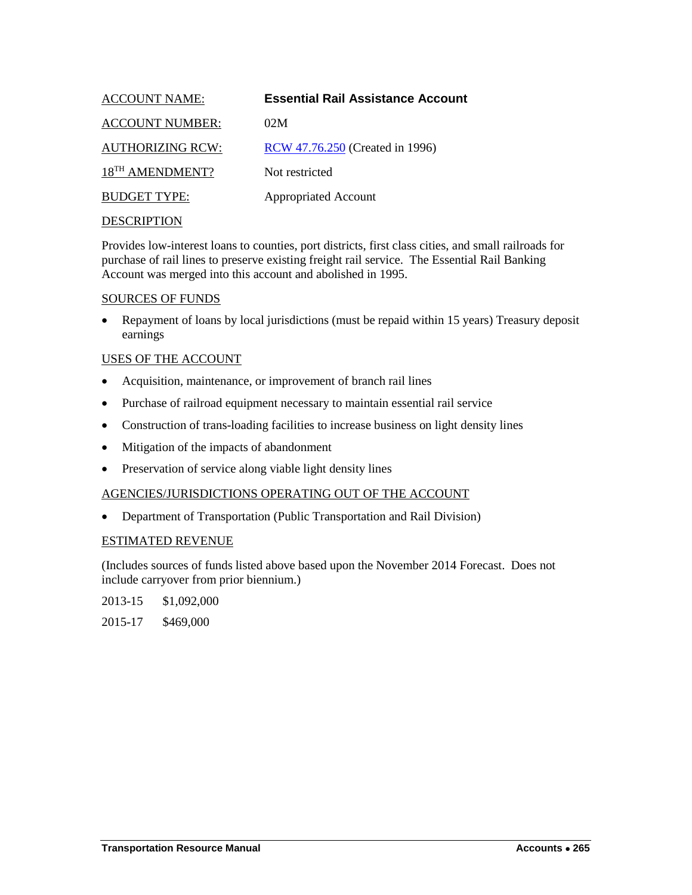<span id="page-12-0"></span>

| <b>ACCOUNT NAME:</b>        | <b>Essential Rail Assistance Account</b> |
|-----------------------------|------------------------------------------|
| <b>ACCOUNT NUMBER:</b>      | 02M                                      |
| <b>AUTHORIZING RCW:</b>     | RCW 47.76.250 (Created in 1996)          |
| 18 <sup>TH</sup> AMENDMENT? | Not restricted                           |
| <b>BUDGET TYPE:</b>         | <b>Appropriated Account</b>              |
|                             |                                          |

Provides low-interest loans to counties, port districts, first class cities, and small railroads for purchase of rail lines to preserve existing freight rail service. The Essential Rail Banking Account was merged into this account and abolished in 1995.

#### SOURCES OF FUNDS

• Repayment of loans by local jurisdictions (must be repaid within 15 years) Treasury deposit earnings

## USES OF THE ACCOUNT

- Acquisition, maintenance, or improvement of branch rail lines
- Purchase of railroad equipment necessary to maintain essential rail service
- Construction of trans-loading facilities to increase business on light density lines
- Mitigation of the impacts of abandonment
- Preservation of service along viable light density lines

#### AGENCIES/JURISDICTIONS OPERATING OUT OF THE ACCOUNT

• Department of Transportation (Public Transportation and Rail Division)

#### ESTIMATED REVENUE

(Includes sources of funds listed above based upon the November 2014 Forecast. Does not include carryover from prior biennium.)

2013-15 \$1,092,000

2015-17 \$469,000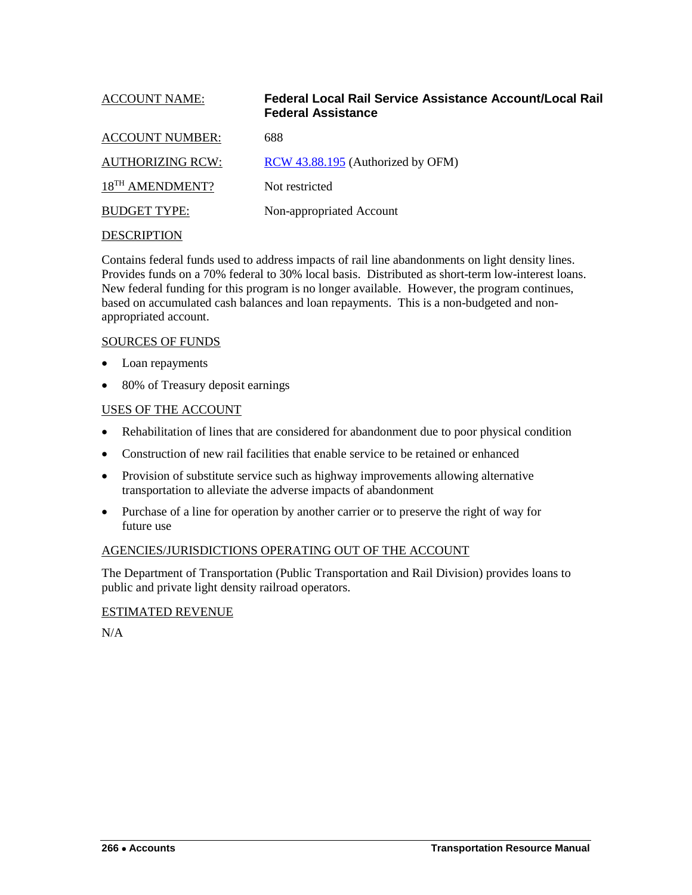<span id="page-13-0"></span>

| <b>ACCOUNT NAME:</b>        | Federal Local Rail Service Assistance Account/Local Rail<br><b>Federal Assistance</b> |
|-----------------------------|---------------------------------------------------------------------------------------|
| <b>ACCOUNT NUMBER:</b>      | 688                                                                                   |
| <b>AUTHORIZING RCW:</b>     | RCW 43.88.195 (Authorized by OFM)                                                     |
| 18 <sup>TH</sup> AMENDMENT? | Not restricted                                                                        |
| <b>BUDGET TYPE:</b>         | Non-appropriated Account                                                              |
|                             |                                                                                       |

Contains federal funds used to address impacts of rail line abandonments on light density lines. Provides funds on a 70% federal to 30% local basis. Distributed as short-term low-interest loans. New federal funding for this program is no longer available. However, the program continues, based on accumulated cash balances and loan repayments. This is a non-budgeted and nonappropriated account.

#### SOURCES OF FUNDS

- Loan repayments
- 80% of Treasury deposit earnings

## USES OF THE ACCOUNT

- Rehabilitation of lines that are considered for abandonment due to poor physical condition
- Construction of new rail facilities that enable service to be retained or enhanced
- Provision of substitute service such as highway improvements allowing alternative transportation to alleviate the adverse impacts of abandonment
- Purchase of a line for operation by another carrier or to preserve the right of way for future use

## AGENCIES/JURISDICTIONS OPERATING OUT OF THE ACCOUNT

The Department of Transportation (Public Transportation and Rail Division) provides loans to public and private light density railroad operators.

## ESTIMATED REVENUE

N/A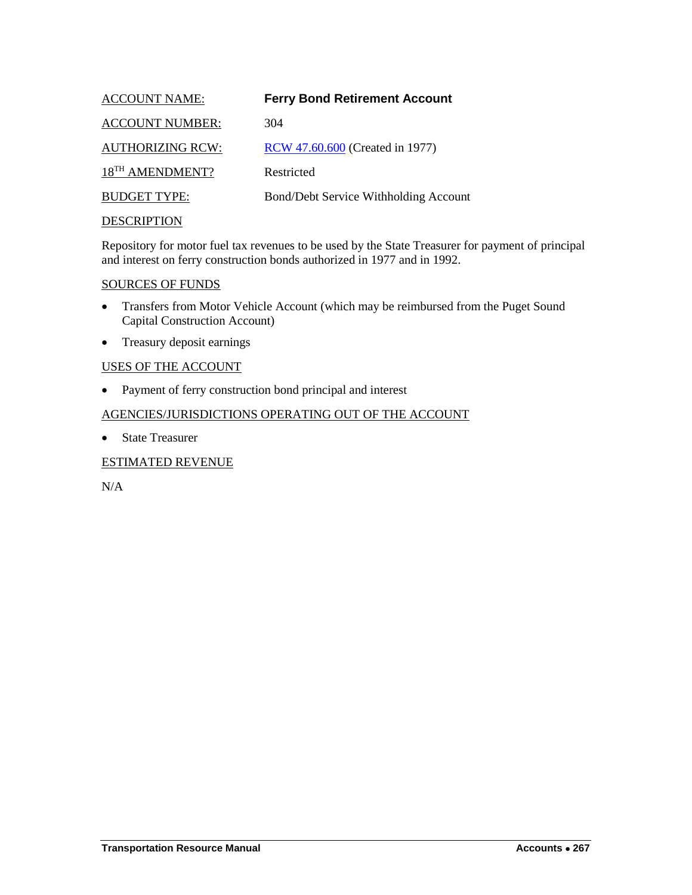<span id="page-14-0"></span>

| <b>ACCOUNT NAME:</b>        | <b>Ferry Bond Retirement Account</b>  |
|-----------------------------|---------------------------------------|
| <b>ACCOUNT NUMBER:</b>      | 304                                   |
| <b>AUTHORIZING RCW:</b>     | RCW 47.60.600 (Created in 1977)       |
| 18 <sup>TH</sup> AMENDMENT? | Restricted                            |
| <b>BUDGET TYPE:</b>         | Bond/Debt Service Withholding Account |
| <b>DESCRIPTION</b>          |                                       |

Repository for motor fuel tax revenues to be used by the State Treasurer for payment of principal and interest on ferry construction bonds authorized in 1977 and in 1992.

## SOURCES OF FUNDS

- Transfers from Motor Vehicle Account (which may be reimbursed from the Puget Sound Capital Construction Account)
- Treasury deposit earnings

## USES OF THE ACCOUNT

• Payment of ferry construction bond principal and interest

## AGENCIES/JURISDICTIONS OPERATING OUT OF THE ACCOUNT

• State Treasurer

## ESTIMATED REVENUE

N/A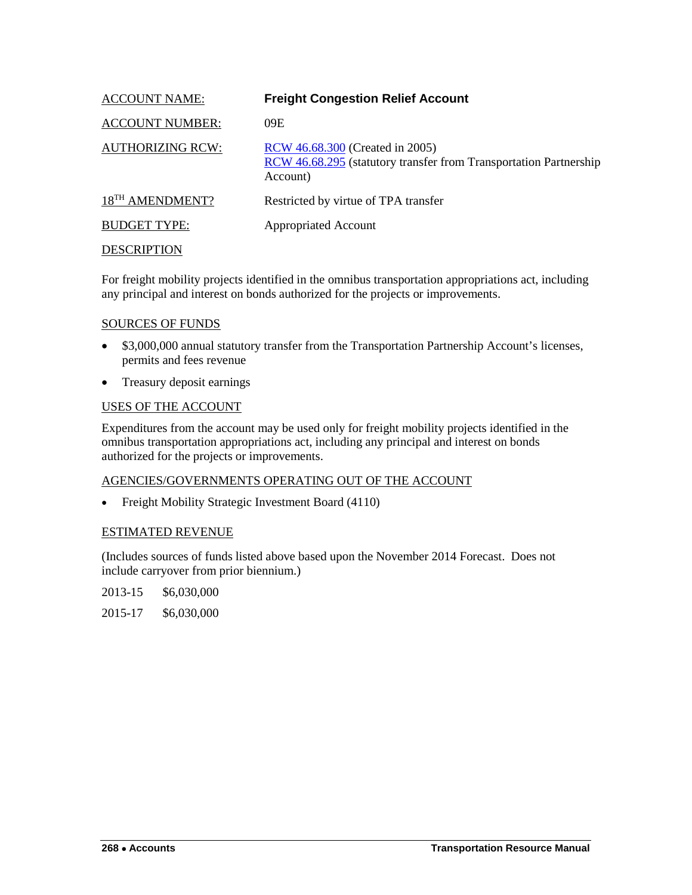<span id="page-15-0"></span>

| <b>ACCOUNT NAME:</b>        | <b>Freight Congestion Relief Account</b>                                                                         |
|-----------------------------|------------------------------------------------------------------------------------------------------------------|
| <b>ACCOUNT NUMBER:</b>      | 09E                                                                                                              |
| <b>AUTHORIZING RCW:</b>     | RCW 46.68.300 (Created in 2005)<br>RCW 46.68.295 (statutory transfer from Transportation Partnership<br>Account) |
| 18 <sup>TH</sup> AMENDMENT? | Restricted by virtue of TPA transfer                                                                             |
| <b>BUDGET TYPE:</b>         | <b>Appropriated Account</b>                                                                                      |
| DESCRIPTION                 |                                                                                                                  |

For freight mobility projects identified in the omnibus transportation appropriations act, including any principal and interest on bonds authorized for the projects or improvements.

## SOURCES OF FUNDS

- \$3,000,000 annual statutory transfer from the Transportation Partnership Account's licenses, permits and fees revenue
- Treasury deposit earnings

#### USES OF THE ACCOUNT

Expenditures from the account may be used only for freight mobility projects identified in the omnibus transportation appropriations act, including any principal and interest on bonds authorized for the projects or improvements.

#### AGENCIES/GOVERNMENTS OPERATING OUT OF THE ACCOUNT

• Freight Mobility Strategic Investment Board (4110)

## ESTIMATED REVENUE

(Includes sources of funds listed above based upon the November 2014 Forecast. Does not include carryover from prior biennium.)

2013-15 \$6,030,000

2015-17 \$6,030,000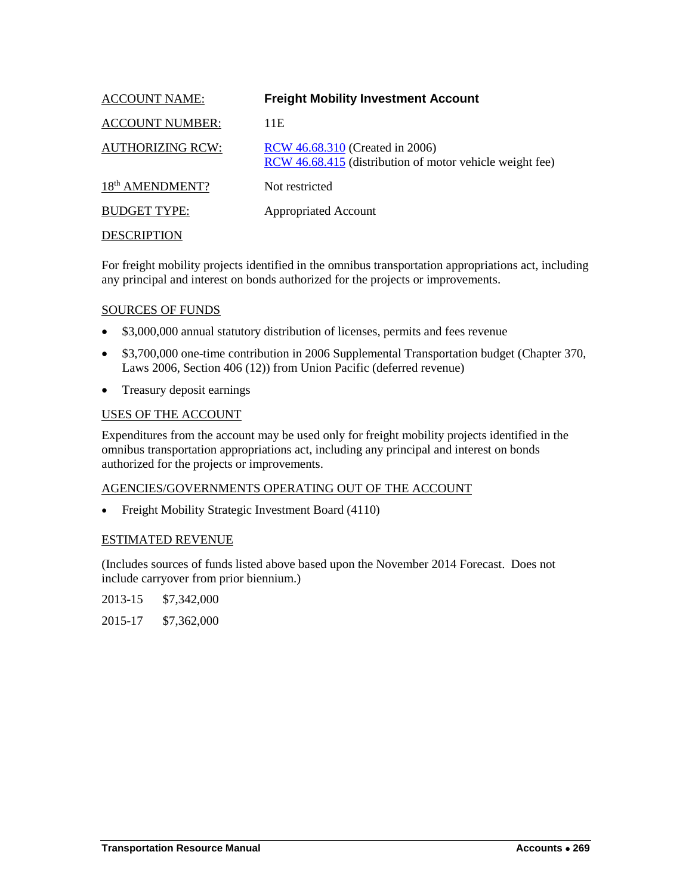<span id="page-16-0"></span>

| <b>ACCOUNT NAME:</b>        | <b>Freight Mobility Investment Account</b>                                                  |
|-----------------------------|---------------------------------------------------------------------------------------------|
| <b>ACCOUNT NUMBER:</b>      | 11E                                                                                         |
| <b>AUTHORIZING RCW:</b>     | RCW 46.68.310 (Created in 2006)<br>RCW 46.68.415 (distribution of motor vehicle weight fee) |
| 18 <sup>th</sup> AMENDMENT? | Not restricted                                                                              |
| <b>BUDGET TYPE:</b>         | <b>Appropriated Account</b>                                                                 |
| <b>DESCRIPTION</b>          |                                                                                             |

For freight mobility projects identified in the omnibus transportation appropriations act, including any principal and interest on bonds authorized for the projects or improvements.

#### SOURCES OF FUNDS

- \$3,000,000 annual statutory distribution of licenses, permits and fees revenue
- \$3,700,000 one-time contribution in 2006 Supplemental Transportation budget (Chapter 370, Laws 2006, Section 406 (12)) from Union Pacific (deferred revenue)
- Treasury deposit earnings

#### USES OF THE ACCOUNT

Expenditures from the account may be used only for freight mobility projects identified in the omnibus transportation appropriations act, including any principal and interest on bonds authorized for the projects or improvements.

## AGENCIES/GOVERNMENTS OPERATING OUT OF THE ACCOUNT

• Freight Mobility Strategic Investment Board (4110)

#### ESTIMATED REVENUE

(Includes sources of funds listed above based upon the November 2014 Forecast. Does not include carryover from prior biennium.)

2013-15 \$7,342,000

2015-17 \$7,362,000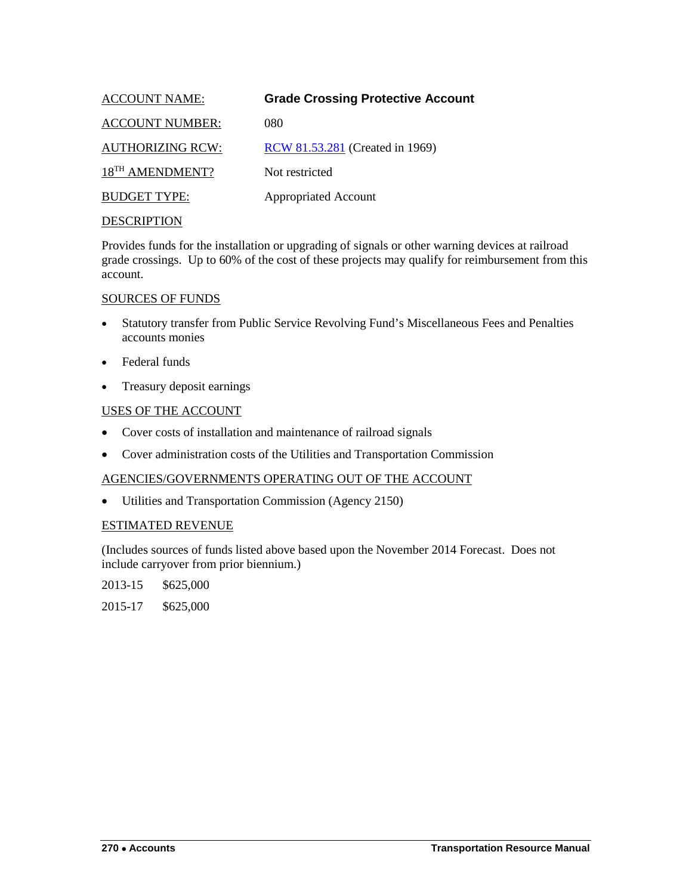<span id="page-17-0"></span>

| <b>ACCOUNT NAME:</b>        | <b>Grade Crossing Protective Account</b> |
|-----------------------------|------------------------------------------|
| <b>ACCOUNT NUMBER:</b>      | 080                                      |
| <b>AUTHORIZING RCW:</b>     | RCW 81.53.281 (Created in 1969)          |
| 18 <sup>TH</sup> AMENDMENT? | Not restricted                           |
| <b>BUDGET TYPE:</b>         | <b>Appropriated Account</b>              |
|                             |                                          |

Provides funds for the installation or upgrading of signals or other warning devices at railroad grade crossings. Up to 60% of the cost of these projects may qualify for reimbursement from this account.

#### SOURCES OF FUNDS

- Statutory transfer from Public Service Revolving Fund's Miscellaneous Fees and Penalties accounts monies
- Federal funds
- Treasury deposit earnings

## USES OF THE ACCOUNT

- Cover costs of installation and maintenance of railroad signals
- Cover administration costs of the Utilities and Transportation Commission

## AGENCIES/GOVERNMENTS OPERATING OUT OF THE ACCOUNT

• Utilities and Transportation Commission (Agency 2150)

## ESTIMATED REVENUE

(Includes sources of funds listed above based upon the November 2014 Forecast. Does not include carryover from prior biennium.)

2013-15 \$625,000

2015-17 \$625,000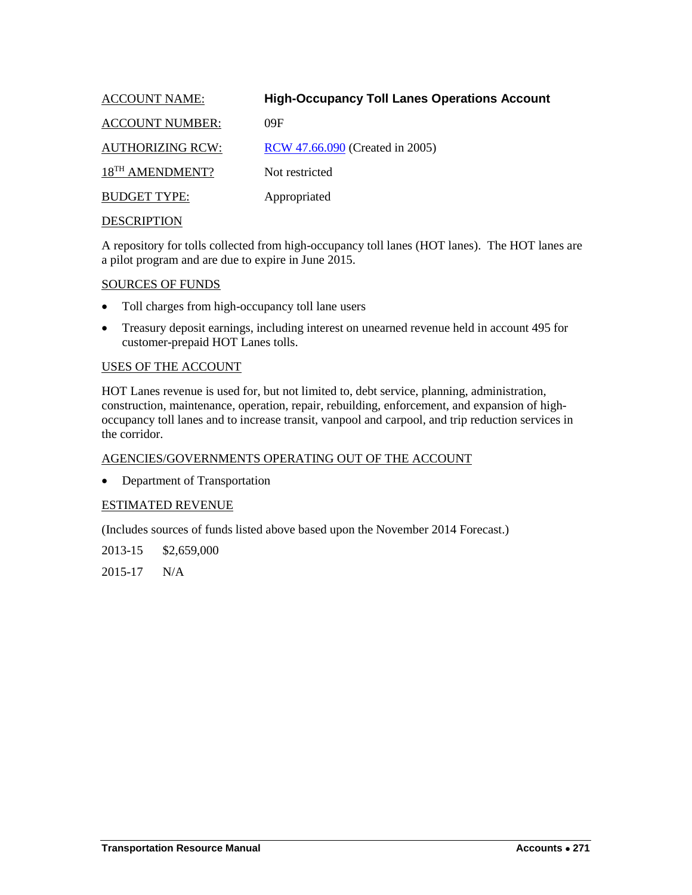<span id="page-18-0"></span>

| <b>ACCOUNT NAME:</b>        | <b>High-Occupancy Toll Lanes Operations Account</b> |
|-----------------------------|-----------------------------------------------------|
| <b>ACCOUNT NUMBER:</b>      | 09F                                                 |
| <b>AUTHORIZING RCW:</b>     | RCW 47.66.090 (Created in 2005)                     |
| 18 <sup>TH</sup> AMENDMENT? | Not restricted                                      |
| <b>BUDGET TYPE:</b>         | Appropriated                                        |
|                             |                                                     |

A repository for tolls collected from high-occupancy toll lanes (HOT lanes). The HOT lanes are a pilot program and are due to expire in June 2015.

#### SOURCES OF FUNDS

- Toll charges from high-occupancy toll lane users
- Treasury deposit earnings, including interest on unearned revenue held in account 495 for customer-prepaid HOT Lanes tolls.

#### USES OF THE ACCOUNT

HOT Lanes revenue is used for, but not limited to, debt service, planning, administration, construction, maintenance, operation, repair, rebuilding, enforcement, and expansion of highoccupancy toll lanes and to increase transit, vanpool and carpool, and trip reduction services in the corridor.

## AGENCIES/GOVERNMENTS OPERATING OUT OF THE ACCOUNT

• Department of Transportation

## ESTIMATED REVENUE

(Includes sources of funds listed above based upon the November 2014 Forecast.)

2013-15 \$2,659,000

2015-17 N/A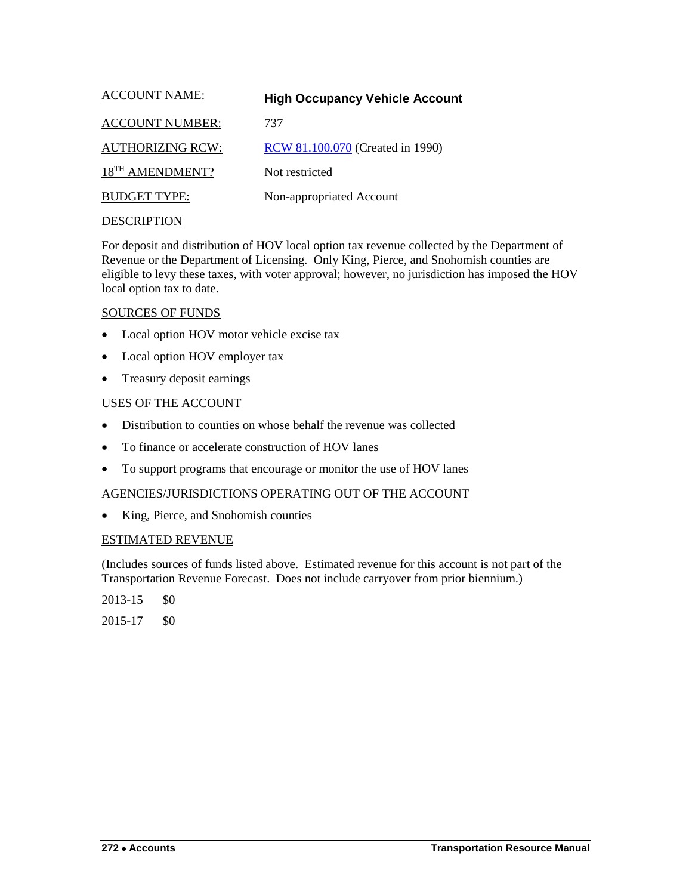<span id="page-19-0"></span>

| <b>ACCOUNT NAME:</b>        | <b>High Occupancy Vehicle Account</b> |
|-----------------------------|---------------------------------------|
| <b>ACCOUNT NUMBER:</b>      | 737                                   |
| <b>AUTHORIZING RCW:</b>     | RCW 81.100.070 (Created in 1990)      |
| 18 <sup>TH</sup> AMENDMENT? | Not restricted                        |
| <b>BUDGET TYPE:</b>         | Non-appropriated Account              |
|                             |                                       |

For deposit and distribution of HOV local option tax revenue collected by the Department of Revenue or the Department of Licensing. Only King, Pierce, and Snohomish counties are eligible to levy these taxes, with voter approval; however, no jurisdiction has imposed the HOV local option tax to date.

#### SOURCES OF FUNDS

- Local option HOV motor vehicle excise tax
- Local option HOV employer tax
- Treasury deposit earnings

## USES OF THE ACCOUNT

- Distribution to counties on whose behalf the revenue was collected
- To finance or accelerate construction of HOV lanes
- To support programs that encourage or monitor the use of HOV lanes

## AGENCIES/JURISDICTIONS OPERATING OUT OF THE ACCOUNT

• King, Pierce, and Snohomish counties

## ESTIMATED REVENUE

(Includes sources of funds listed above. Estimated revenue for this account is not part of the Transportation Revenue Forecast. Does not include carryover from prior biennium.)

 $2013 - 15$  \$0

2015-17 \$0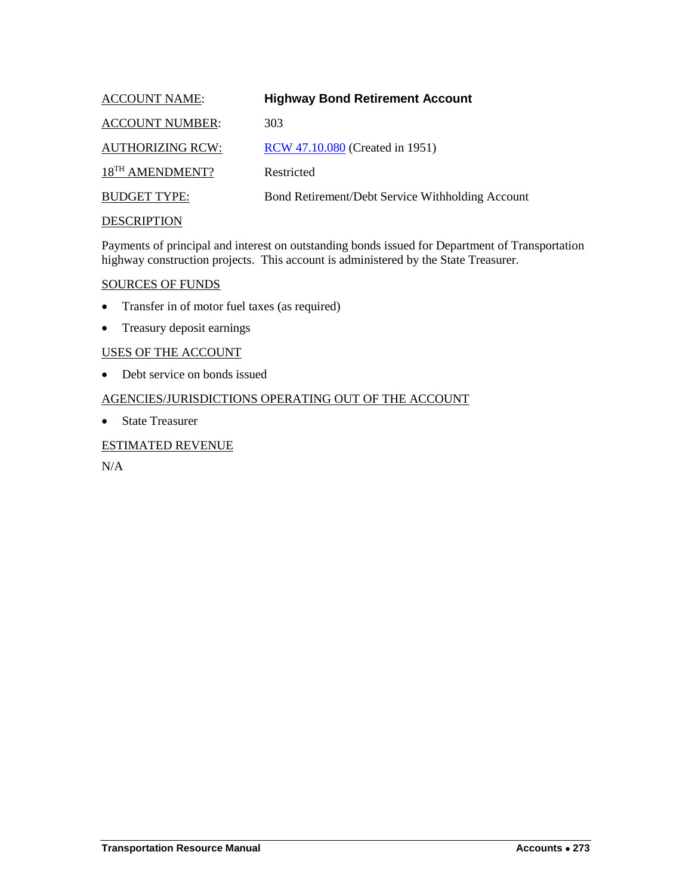<span id="page-20-0"></span>

| <b>ACCOUNT NAME:</b>        | <b>Highway Bond Retirement Account</b>           |
|-----------------------------|--------------------------------------------------|
| <b>ACCOUNT NUMBER:</b>      | 303                                              |
| <b>AUTHORIZING RCW:</b>     | RCW 47.10.080 (Created in 1951)                  |
| 18 <sup>TH</sup> AMENDMENT? | Restricted                                       |
| <b>BUDGET TYPE:</b>         | Bond Retirement/Debt Service Withholding Account |
| <b>DESCRIPTION</b>          |                                                  |

Payments of principal and interest on outstanding bonds issued for Department of Transportation highway construction projects. This account is administered by the State Treasurer.

#### SOURCES OF FUNDS

- Transfer in of motor fuel taxes (as required)
- Treasury deposit earnings

#### USES OF THE ACCOUNT

• Debt service on bonds issued

## AGENCIES/JURISDICTIONS OPERATING OUT OF THE ACCOUNT

• State Treasurer

## ESTIMATED REVENUE

N/A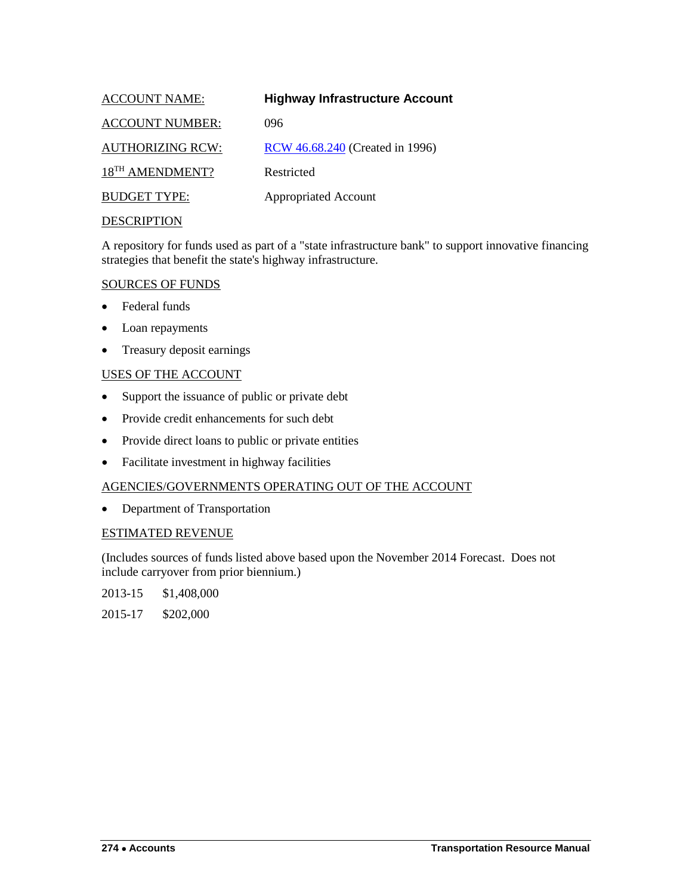<span id="page-21-0"></span>

| <b>ACCOUNT NAME:</b>        | <b>Highway Infrastructure Account</b> |
|-----------------------------|---------------------------------------|
| <b>ACCOUNT NUMBER:</b>      | 096                                   |
| <b>AUTHORIZING RCW:</b>     | RCW 46.68.240 (Created in 1996)       |
| 18 <sup>TH</sup> AMENDMENT? | Restricted                            |
| <b>BUDGET TYPE:</b>         | <b>Appropriated Account</b>           |
| <b>DECODIDEIONI</b>         |                                       |

A repository for funds used as part of a "state infrastructure bank" to support innovative financing strategies that benefit the state's highway infrastructure.

## SOURCES OF FUNDS

- Federal funds
- Loan repayments
- Treasury deposit earnings

## USES OF THE ACCOUNT

- Support the issuance of public or private debt
- Provide credit enhancements for such debt
- Provide direct loans to public or private entities
- Facilitate investment in highway facilities

#### AGENCIES/GOVERNMENTS OPERATING OUT OF THE ACCOUNT

• Department of Transportation

#### ESTIMATED REVENUE

(Includes sources of funds listed above based upon the November 2014 Forecast. Does not include carryover from prior biennium.)

2013-15 \$1,408,000

2015-17 \$202,000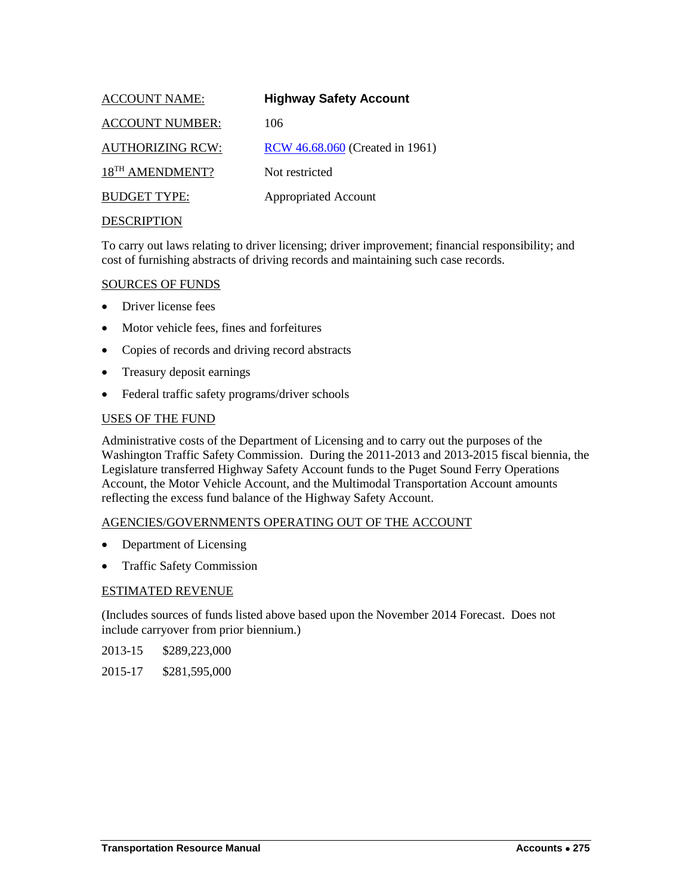<span id="page-22-0"></span>

| <b>ACCOUNT NAME:</b>        | <b>Highway Safety Account</b>   |
|-----------------------------|---------------------------------|
| <b>ACCOUNT NUMBER:</b>      | 106                             |
| <b>AUTHORIZING RCW:</b>     | RCW 46.68.060 (Created in 1961) |
| 18 <sup>TH</sup> AMENDMENT? | Not restricted                  |
| <b>BUDGET TYPE:</b>         | <b>Appropriated Account</b>     |
| DECCD IDTIONI               |                                 |

To carry out laws relating to driver licensing; driver improvement; financial responsibility; and cost of furnishing abstracts of driving records and maintaining such case records.

#### SOURCES OF FUNDS

- Driver license fees
- Motor vehicle fees, fines and forfeitures
- Copies of records and driving record abstracts
- Treasury deposit earnings
- Federal traffic safety programs/driver schools

#### USES OF THE FUND

Administrative costs of the Department of Licensing and to carry out the purposes of the Washington Traffic Safety Commission. During the 2011-2013 and 2013-2015 fiscal biennia, the Legislature transferred Highway Safety Account funds to the Puget Sound Ferry Operations Account, the Motor Vehicle Account, and the Multimodal Transportation Account amounts reflecting the excess fund balance of the Highway Safety Account.

#### AGENCIES/GOVERNMENTS OPERATING OUT OF THE ACCOUNT

- Department of Licensing
- Traffic Safety Commission

#### ESTIMATED REVENUE

(Includes sources of funds listed above based upon the November 2014 Forecast. Does not include carryover from prior biennium.)

- 2013-15 \$289,223,000
- 2015-17 \$281,595,000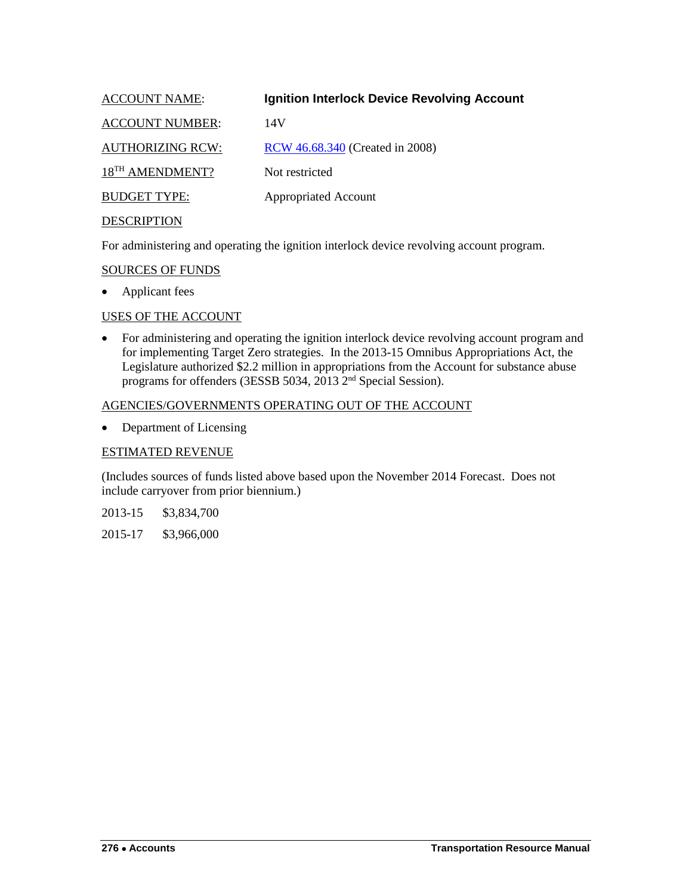<span id="page-23-0"></span>

| <b>ACCOUNT NAME:</b>        | <b>Ignition Interlock Device Revolving Account</b> |
|-----------------------------|----------------------------------------------------|
| <b>ACCOUNT NUMBER:</b>      | 14V                                                |
| <b>AUTHORIZING RCW:</b>     | RCW 46.68.340 (Created in 2008)                    |
| 18 <sup>TH</sup> AMENDMENT? | Not restricted                                     |
| <b>BUDGET TYPE:</b>         | <b>Appropriated Account</b>                        |
| <b>DESCRIPTION</b>          |                                                    |

For administering and operating the ignition interlock device revolving account program.

#### SOURCES OF FUNDS

• Applicant fees

#### USES OF THE ACCOUNT

• For administering and operating the ignition interlock device revolving account program and for implementing Target Zero strategies. In the 2013-15 Omnibus Appropriations Act, the Legislature authorized \$2.2 million in appropriations from the Account for substance abuse programs for offenders (3ESSB 5034, 2013 2nd Special Session).

## AGENCIES/GOVERNMENTS OPERATING OUT OF THE ACCOUNT

• Department of Licensing

#### ESTIMATED REVENUE

(Includes sources of funds listed above based upon the November 2014 Forecast. Does not include carryover from prior biennium.)

2013-15 \$3,834,700

2015-17 \$3,966,000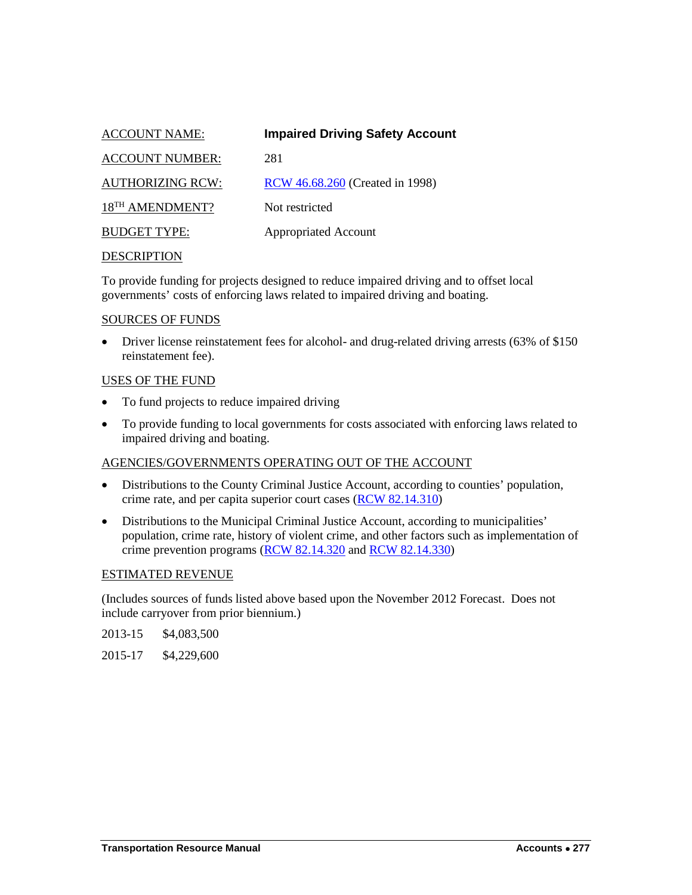<span id="page-24-0"></span>

| <b>ACCOUNT NAME:</b>        | <b>Impaired Driving Safety Account</b> |
|-----------------------------|----------------------------------------|
| <b>ACCOUNT NUMBER:</b>      | 281                                    |
| <b>AUTHORIZING RCW:</b>     | <b>RCW</b> 46.68.260 (Created in 1998) |
| 18 <sup>TH</sup> AMENDMENT? | Not restricted                         |
| <b>BUDGET TYPE:</b>         | <b>Appropriated Account</b>            |
|                             |                                        |

To provide funding for projects designed to reduce impaired driving and to offset local governments' costs of enforcing laws related to impaired driving and boating.

#### SOURCES OF FUNDS

• Driver license reinstatement fees for alcohol- and drug-related driving arrests (63% of \$150 reinstatement fee).

#### USES OF THE FUND

- To fund projects to reduce impaired driving
- To provide funding to local governments for costs associated with enforcing laws related to impaired driving and boating.

## AGENCIES/GOVERNMENTS OPERATING OUT OF THE ACCOUNT

- Distributions to the County Criminal Justice Account, according to counties' population, crime rate, and per capita superior court cases [\(RCW 82.14.310\)](http://apps.leg.wa.gov/rcw/default.aspx?cite=82.14.310)
- Distributions to the Municipal Criminal Justice Account, according to municipalities' population, crime rate, history of violent crime, and other factors such as implementation of crime prevention programs [\(RCW 82.14.320](http://apps.leg.wa.gov/rcw/default.aspx?cite=82.14.320) an[d RCW 82.14.330\)](http://apps.leg.wa.gov/rcw/default.aspx?cite=82.14.330)

#### ESTIMATED REVENUE

(Includes sources of funds listed above based upon the November 2012 Forecast. Does not include carryover from prior biennium.)

| 2013-15 | \$4,083,500 |
|---------|-------------|
|---------|-------------|

2015-17 \$4,229,600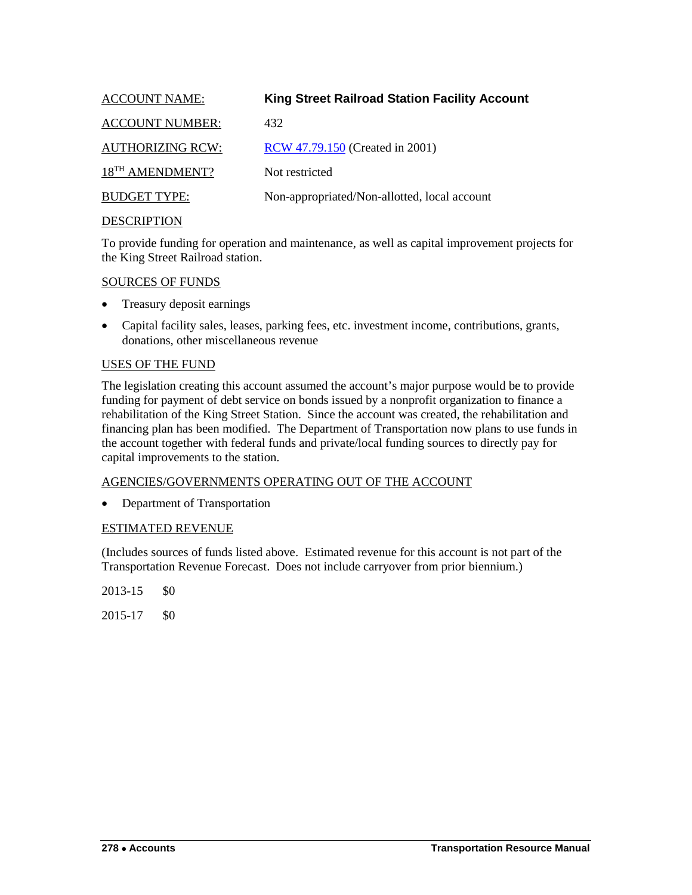<span id="page-25-0"></span>

| <b>ACCOUNT NAME:</b>        | <b>King Street Railroad Station Facility Account</b> |
|-----------------------------|------------------------------------------------------|
| <b>ACCOUNT NUMBER:</b>      | 432                                                  |
| <b>AUTHORIZING RCW:</b>     | <b>RCW</b> 47.79.150 (Created in 2001)               |
| 18 <sup>TH</sup> AMENDMENT? | Not restricted                                       |
| <b>BUDGET TYPE:</b>         | Non-appropriated/Non-allotted, local account         |
| <b>DESCEIDTION</b>          |                                                      |

To provide funding for operation and maintenance, as well as capital improvement projects for the King Street Railroad station.

## SOURCES OF FUNDS

- Treasury deposit earnings
- Capital facility sales, leases, parking fees, etc. investment income, contributions, grants, donations, other miscellaneous revenue

## USES OF THE FUND

The legislation creating this account assumed the account's major purpose would be to provide funding for payment of debt service on bonds issued by a nonprofit organization to finance a rehabilitation of the King Street Station. Since the account was created, the rehabilitation and financing plan has been modified. The Department of Transportation now plans to use funds in the account together with federal funds and private/local funding sources to directly pay for capital improvements to the station.

## AGENCIES/GOVERNMENTS OPERATING OUT OF THE ACCOUNT

• Department of Transportation

## ESTIMATED REVENUE

(Includes sources of funds listed above. Estimated revenue for this account is not part of the Transportation Revenue Forecast. Does not include carryover from prior biennium.)

2013-15 \$0

2015-17 \$0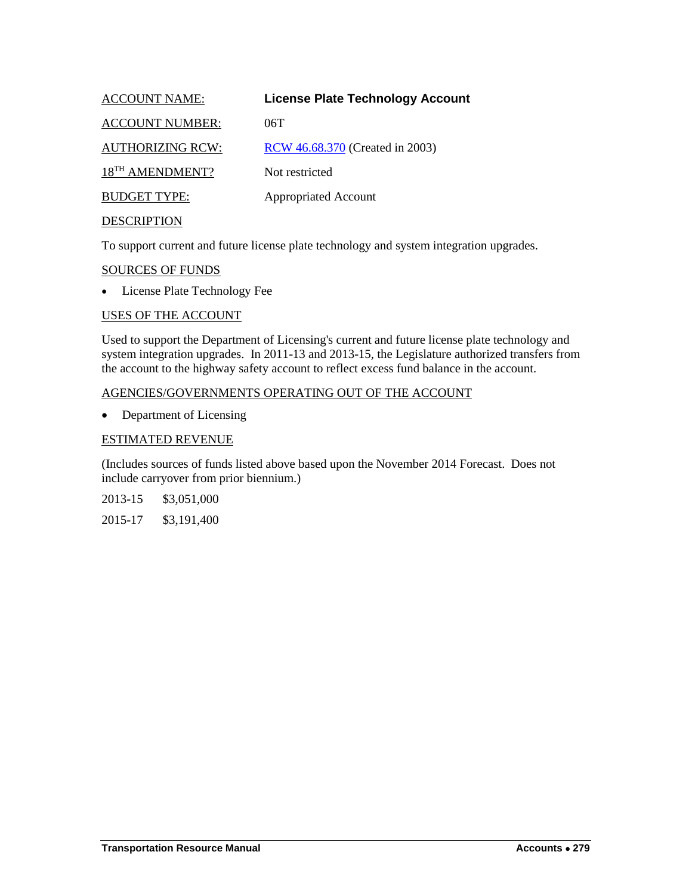<span id="page-26-0"></span>

| <b>ACCOUNT NAME:</b>        | <b>License Plate Technology Account</b> |
|-----------------------------|-----------------------------------------|
| <b>ACCOUNT NUMBER:</b>      | 06T                                     |
| <b>AUTHORIZING RCW:</b>     | RCW 46.68.370 (Created in 2003)         |
| 18 <sup>TH</sup> AMENDMENT? | Not restricted                          |
| <b>BUDGET TYPE:</b>         | <b>Appropriated Account</b>             |
| <b>DESCRIPTION</b>          |                                         |

To support current and future license plate technology and system integration upgrades.

#### SOURCES OF FUNDS

• License Plate Technology Fee

#### USES OF THE ACCOUNT

Used to support the Department of Licensing's current and future license plate technology and system integration upgrades. In 2011-13 and 2013-15, the Legislature authorized transfers from the account to the highway safety account to reflect excess fund balance in the account.

#### AGENCIES/GOVERNMENTS OPERATING OUT OF THE ACCOUNT

• Department of Licensing

#### ESTIMATED REVENUE

(Includes sources of funds listed above based upon the November 2014 Forecast. Does not include carryover from prior biennium.)

2013-15 \$3,051,000

2015-17 \$3,191,400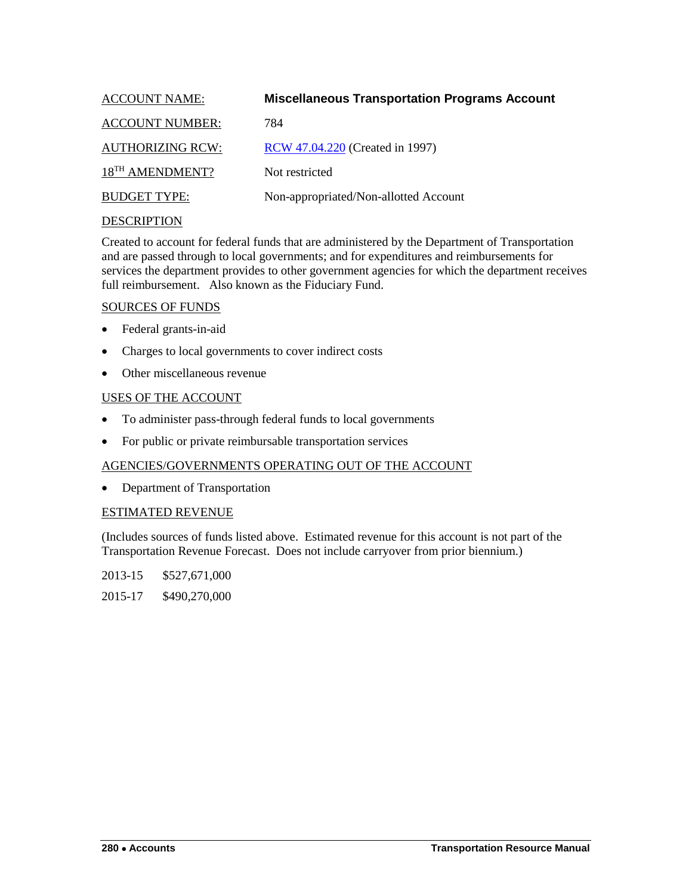<span id="page-27-0"></span>

| <b>ACCOUNT NAME:</b>        | <b>Miscellaneous Transportation Programs Account</b> |
|-----------------------------|------------------------------------------------------|
| <b>ACCOUNT NUMBER:</b>      | 784                                                  |
| <b>AUTHORIZING RCW:</b>     | RCW 47.04.220 (Created in 1997)                      |
| 18 <sup>TH</sup> AMENDMENT? | Not restricted                                       |
| <b>BUDGET TYPE:</b>         | Non-appropriated/Non-allotted Account                |
|                             |                                                      |

Created to account for federal funds that are administered by the Department of Transportation and are passed through to local governments; and for expenditures and reimbursements for services the department provides to other government agencies for which the department receives full reimbursement. Also known as the Fiduciary Fund.

## SOURCES OF FUNDS

- Federal grants-in-aid
- Charges to local governments to cover indirect costs
- Other miscellaneous revenue

## USES OF THE ACCOUNT

- To administer pass-through federal funds to local governments
- For public or private reimbursable transportation services

## AGENCIES/GOVERNMENTS OPERATING OUT OF THE ACCOUNT

• Department of Transportation

## ESTIMATED REVENUE

(Includes sources of funds listed above. Estimated revenue for this account is not part of the Transportation Revenue Forecast. Does not include carryover from prior biennium.)

2013-15 \$527,671,000

2015-17 \$490,270,000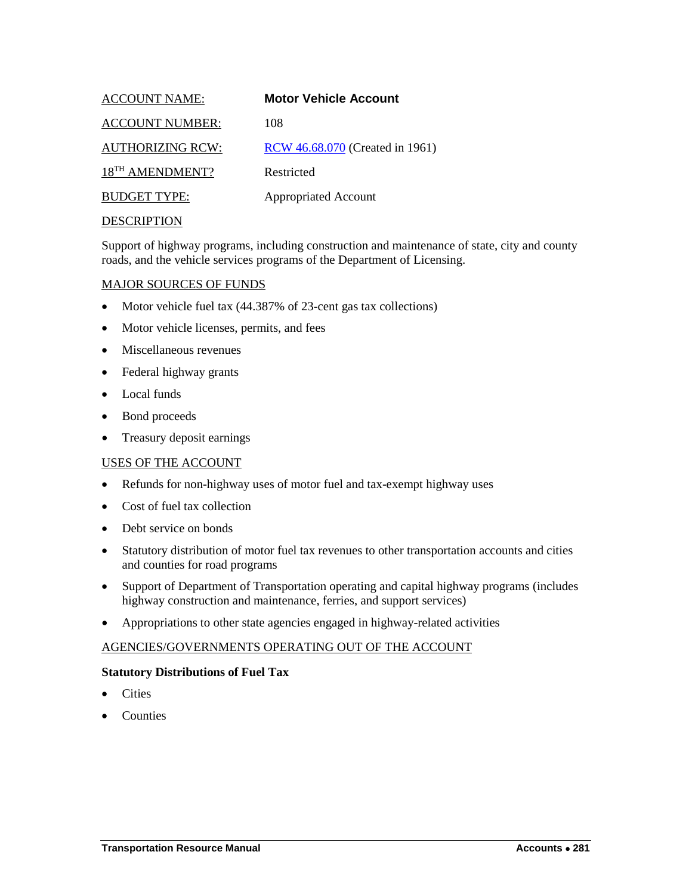<span id="page-28-0"></span>

| <b>ACCOUNT NAME:</b>        | <b>Motor Vehicle Account</b>    |
|-----------------------------|---------------------------------|
| <b>ACCOUNT NUMBER:</b>      | 108                             |
| <b>AUTHORIZING RCW:</b>     | RCW 46.68.070 (Created in 1961) |
| 18 <sup>TH</sup> AMENDMENT? | Restricted                      |
| <b>BUDGET TYPE:</b>         | <b>Appropriated Account</b>     |
| <b>DECCDIDTION</b>          |                                 |

Support of highway programs, including construction and maintenance of state, city and county roads, and the vehicle services programs of the Department of Licensing.

#### MAJOR SOURCES OF FUNDS

- Motor vehicle fuel tax (44.387% of 23-cent gas tax collections)
- Motor vehicle licenses, permits, and fees
- Miscellaneous revenues
- Federal highway grants
- Local funds
- Bond proceeds
- Treasury deposit earnings

#### USES OF THE ACCOUNT

- Refunds for non-highway uses of motor fuel and tax-exempt highway uses
- Cost of fuel tax collection
- Debt service on bonds
- Statutory distribution of motor fuel tax revenues to other transportation accounts and cities and counties for road programs
- Support of Department of Transportation operating and capital highway programs (includes highway construction and maintenance, ferries, and support services)
- Appropriations to other state agencies engaged in highway-related activities

#### AGENCIES/GOVERNMENTS OPERATING OUT OF THE ACCOUNT

#### **Statutory Distributions of Fuel Tax**

- **Cities**
- Counties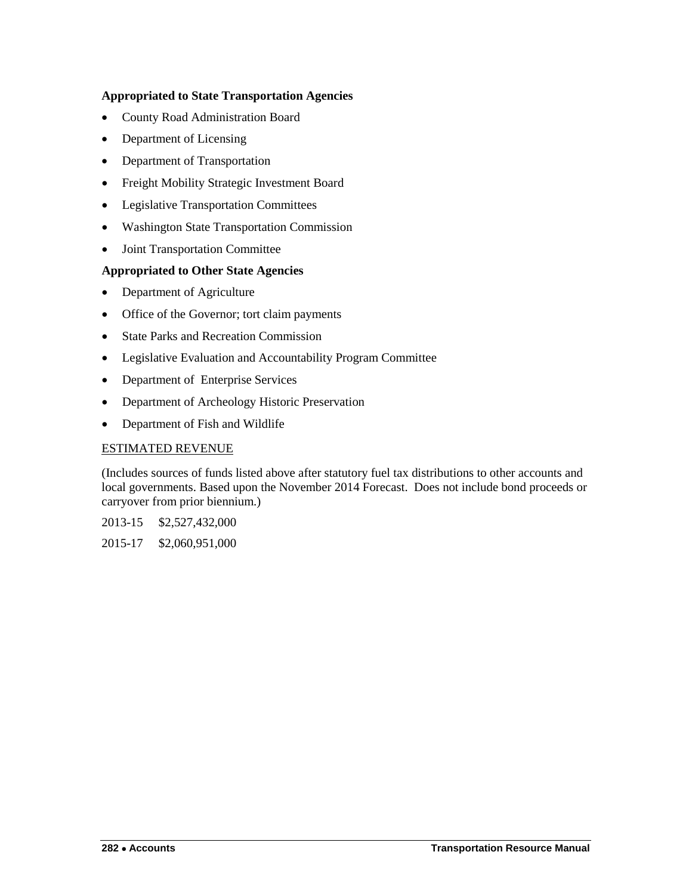## **Appropriated to State Transportation Agencies**

- County Road Administration Board
- Department of Licensing
- Department of Transportation
- Freight Mobility Strategic Investment Board
- Legislative Transportation Committees
- Washington State Transportation Commission
- Joint Transportation Committee

## **Appropriated to Other State Agencies**

- Department of Agriculture
- Office of the Governor; tort claim payments
- State Parks and Recreation Commission
- Legislative Evaluation and Accountability Program Committee
- Department of Enterprise Services
- Department of Archeology Historic Preservation
- Department of Fish and Wildlife

## ESTIMATED REVENUE

(Includes sources of funds listed above after statutory fuel tax distributions to other accounts and local governments. Based upon the November 2014 Forecast. Does not include bond proceeds or carryover from prior biennium.)

2013-15 \$2,527,432,000

2015-17 \$2,060,951,000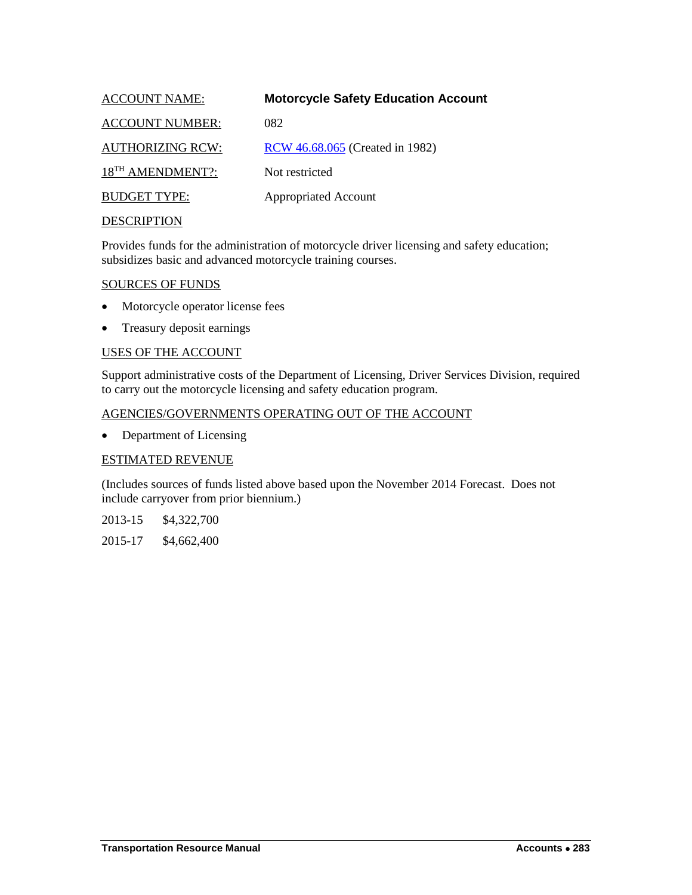<span id="page-30-0"></span>

| <b>ACCOUNT NAME:</b>         | <b>Motorcycle Safety Education Account</b> |
|------------------------------|--------------------------------------------|
| <b>ACCOUNT NUMBER:</b>       | 082                                        |
| <b>AUTHORIZING RCW:</b>      | RCW 46.68.065 (Created in 1982)            |
| 18 <sup>TH</sup> AMENDMENT?: | Not restricted                             |
| <b>BUDGET TYPE:</b>          | <b>Appropriated Account</b>                |
| <b>DESCRIPTION</b>           |                                            |

Provides funds for the administration of motorcycle driver licensing and safety education; subsidizes basic and advanced motorcycle training courses.

#### SOURCES OF FUNDS

- Motorcycle operator license fees
- Treasury deposit earnings

## USES OF THE ACCOUNT

Support administrative costs of the Department of Licensing, Driver Services Division, required to carry out the motorcycle licensing and safety education program.

#### AGENCIES/GOVERNMENTS OPERATING OUT OF THE ACCOUNT

• Department of Licensing

## ESTIMATED REVENUE

(Includes sources of funds listed above based upon the November 2014 Forecast. Does not include carryover from prior biennium.)

2013-15 \$4,322,700

2015-17 \$4,662,400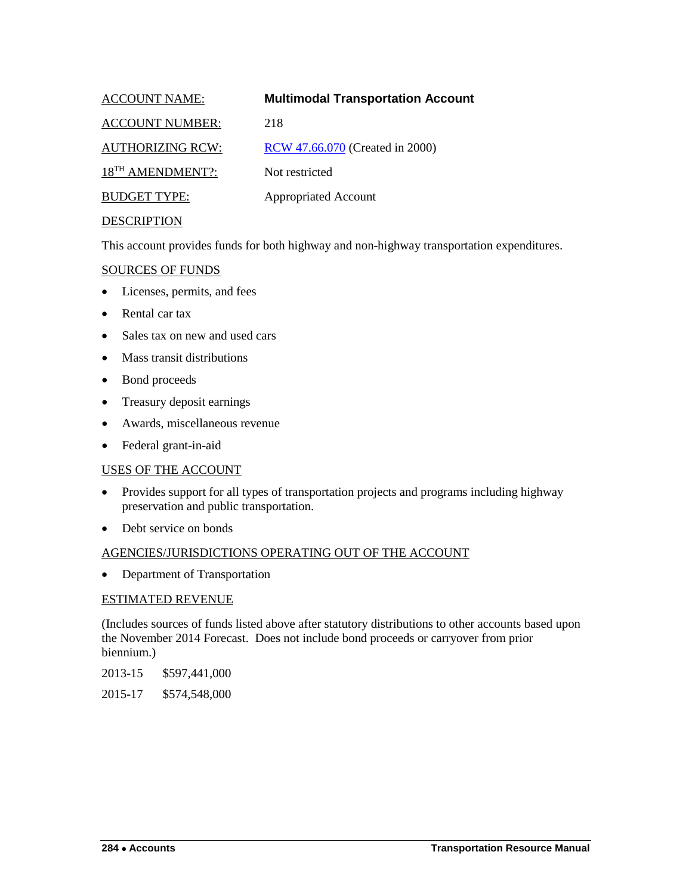<span id="page-31-0"></span>

| <b>ACCOUNT NAME:</b>         | <b>Multimodal Transportation Account</b> |
|------------------------------|------------------------------------------|
| <b>ACCOUNT NUMBER:</b>       | 218                                      |
| <b>AUTHORIZING RCW:</b>      | RCW 47.66.070 (Created in 2000)          |
| 18 <sup>TH</sup> AMENDMENT?: | Not restricted                           |
| <b>BUDGET TYPE:</b>          | <b>Appropriated Account</b>              |
| DECCD IDTION                 |                                          |

This account provides funds for both highway and non-highway transportation expenditures.

## SOURCES OF FUNDS

- Licenses, permits, and fees
- Rental car tax
- Sales tax on new and used cars
- Mass transit distributions
- Bond proceeds
- Treasury deposit earnings
- Awards, miscellaneous revenue
- Federal grant-in-aid

## USES OF THE ACCOUNT

- Provides support for all types of transportation projects and programs including highway preservation and public transportation.
- Debt service on bonds

## AGENCIES/JURISDICTIONS OPERATING OUT OF THE ACCOUNT

• Department of Transportation

## ESTIMATED REVENUE

(Includes sources of funds listed above after statutory distributions to other accounts based upon the November 2014 Forecast. Does not include bond proceeds or carryover from prior biennium.)

2013-15 \$597,441,000

2015-17 \$574,548,000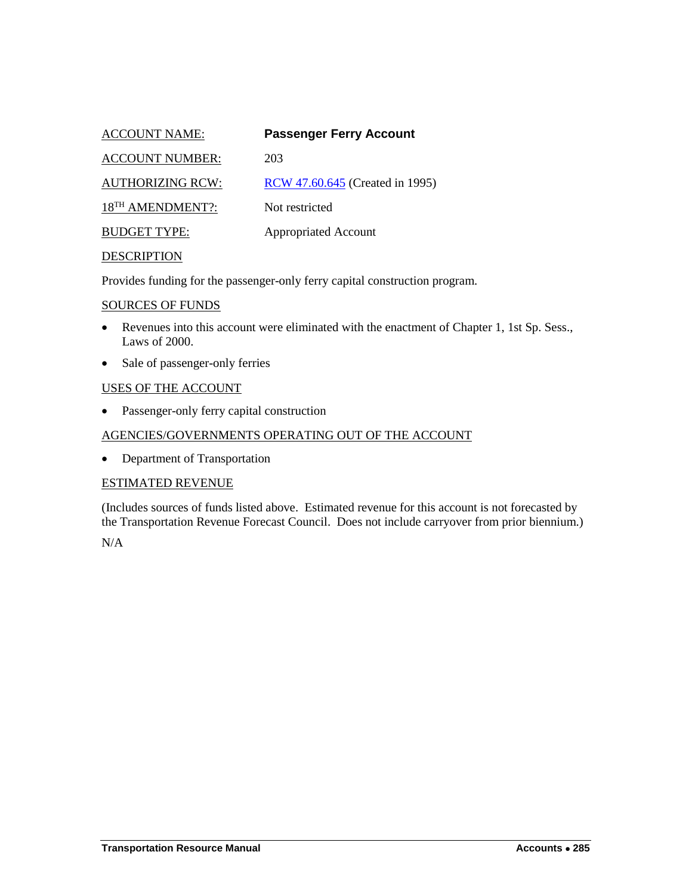<span id="page-32-0"></span>

| <b>ACCOUNT NAME:</b>         | <b>Passenger Ferry Account</b>         |
|------------------------------|----------------------------------------|
| <b>ACCOUNT NUMBER:</b>       | 203                                    |
| <b>AUTHORIZING RCW:</b>      | <b>RCW</b> 47.60.645 (Created in 1995) |
| 18 <sup>TH</sup> AMENDMENT?: | Not restricted                         |
| <b>BUDGET TYPE:</b>          | <b>Appropriated Account</b>            |
|                              |                                        |

Provides funding for the passenger-only ferry capital construction program.

#### SOURCES OF FUNDS

- Revenues into this account were eliminated with the enactment of Chapter 1, 1st Sp. Sess., Laws of 2000.
- Sale of passenger-only ferries

## USES OF THE ACCOUNT

• Passenger-only ferry capital construction

## AGENCIES/GOVERNMENTS OPERATING OUT OF THE ACCOUNT

• Department of Transportation

## ESTIMATED REVENUE

(Includes sources of funds listed above. Estimated revenue for this account is not forecasted by the Transportation Revenue Forecast Council. Does not include carryover from prior biennium.)

N/A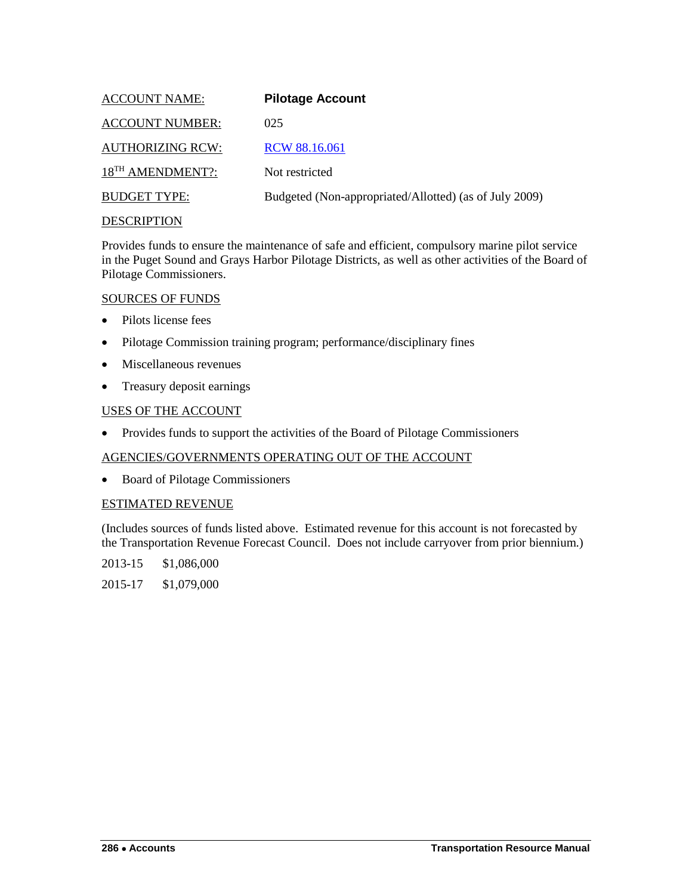<span id="page-33-0"></span>

| <b>ACCOUNT NAME:</b>         | <b>Pilotage Account</b>                                |
|------------------------------|--------------------------------------------------------|
| <b>ACCOUNT NUMBER:</b>       | 025                                                    |
| <b>AUTHORIZING RCW:</b>      | RCW 88.16.061                                          |
| 18 <sup>TH</sup> AMENDMENT?: | Not restricted                                         |
| <b>BUDGET TYPE:</b>          | Budgeted (Non-appropriated/Allotted) (as of July 2009) |
|                              |                                                        |

Provides funds to ensure the maintenance of safe and efficient, compulsory marine pilot service in the Puget Sound and Grays Harbor Pilotage Districts, as well as other activities of the Board of Pilotage Commissioners.

## SOURCES OF FUNDS

- Pilots license fees
- Pilotage Commission training program; performance/disciplinary fines
- Miscellaneous revenues
- Treasury deposit earnings

## USES OF THE ACCOUNT

• Provides funds to support the activities of the Board of Pilotage Commissioners

## AGENCIES/GOVERNMENTS OPERATING OUT OF THE ACCOUNT

• Board of Pilotage Commissioners

## ESTIMATED REVENUE

(Includes sources of funds listed above. Estimated revenue for this account is not forecasted by the Transportation Revenue Forecast Council. Does not include carryover from prior biennium.)

2013-15 \$1,086,000

2015-17 \$1,079,000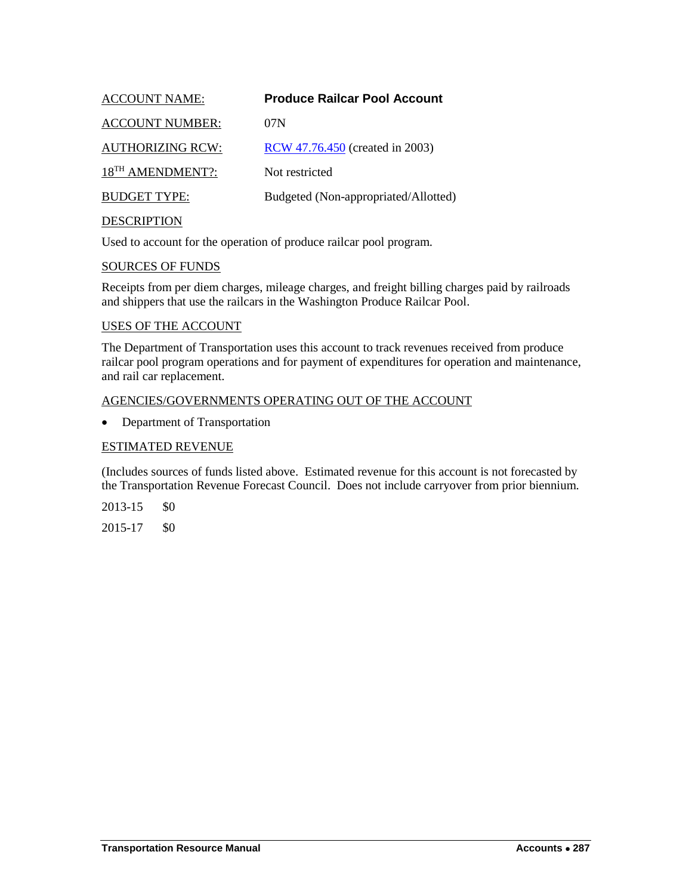<span id="page-34-0"></span>

| <b>ACCOUNT NAME:</b>         | <b>Produce Railcar Pool Account</b>  |
|------------------------------|--------------------------------------|
| <b>ACCOUNT NUMBER:</b>       | 07N                                  |
| <b>AUTHORIZING RCW:</b>      | RCW 47.76.450 (created in 2003)      |
| 18 <sup>TH</sup> AMENDMENT?: | Not restricted                       |
| <b>BUDGET TYPE:</b>          | Budgeted (Non-appropriated/Allotted) |
| <b>DESCRIPTION</b>           |                                      |

Used to account for the operation of produce railcar pool program.

#### SOURCES OF FUNDS

Receipts from per diem charges, mileage charges, and freight billing charges paid by railroads and shippers that use the railcars in the Washington Produce Railcar Pool.

#### USES OF THE ACCOUNT

The Department of Transportation uses this account to track revenues received from produce railcar pool program operations and for payment of expenditures for operation and maintenance, and rail car replacement.

#### AGENCIES/GOVERNMENTS OPERATING OUT OF THE ACCOUNT

• Department of Transportation

#### ESTIMATED REVENUE

(Includes sources of funds listed above. Estimated revenue for this account is not forecasted by the Transportation Revenue Forecast Council. Does not include carryover from prior biennium.

2013-15 \$0

2015-17 \$0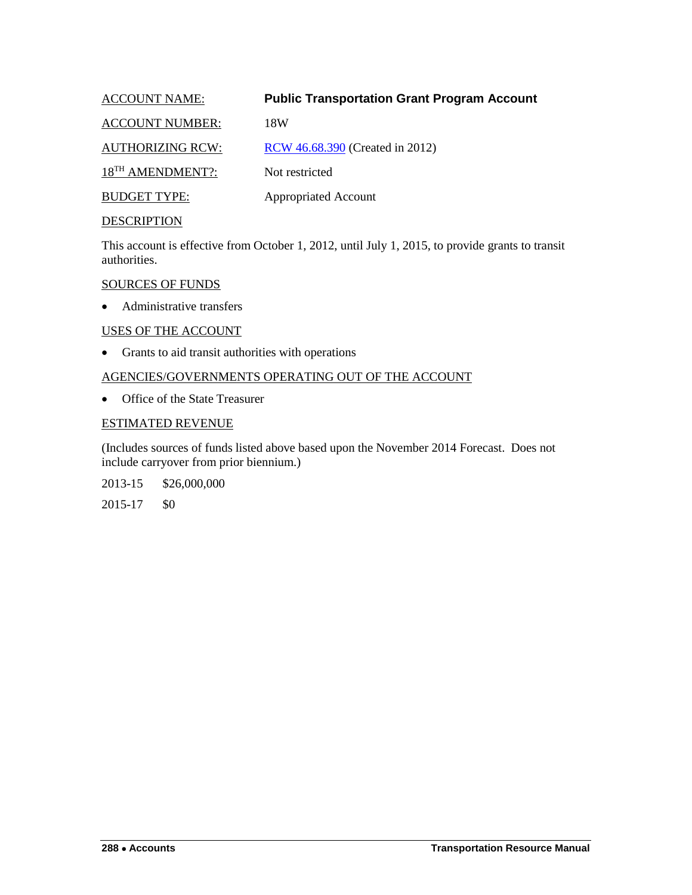## <span id="page-35-0"></span>ACCOUNT NAME: **Public Transportation Grant Program Account**

ACCOUNT NUMBER: 18W

AUTHORIZING RCW: [RCW 46.68.390](http://apps.leg.wa.gov/rcw/default.aspx?cite=46.68.390) (Created in 2012)

18<sup>TH</sup> AMENDMENT?: Not restricted

BUDGET TYPE: Appropriated Account

## **DESCRIPTION**

This account is effective from October 1, 2012, until July 1, 2015, to provide grants to transit authorities.

#### SOURCES OF FUNDS

• Administrative transfers

## USES OF THE ACCOUNT

• Grants to aid transit authorities with operations

## AGENCIES/GOVERNMENTS OPERATING OUT OF THE ACCOUNT

• Office of the State Treasurer

## ESTIMATED REVENUE

(Includes sources of funds listed above based upon the November 2014 Forecast. Does not include carryover from prior biennium.)

2013-15 \$26,000,000

2015-17 \$0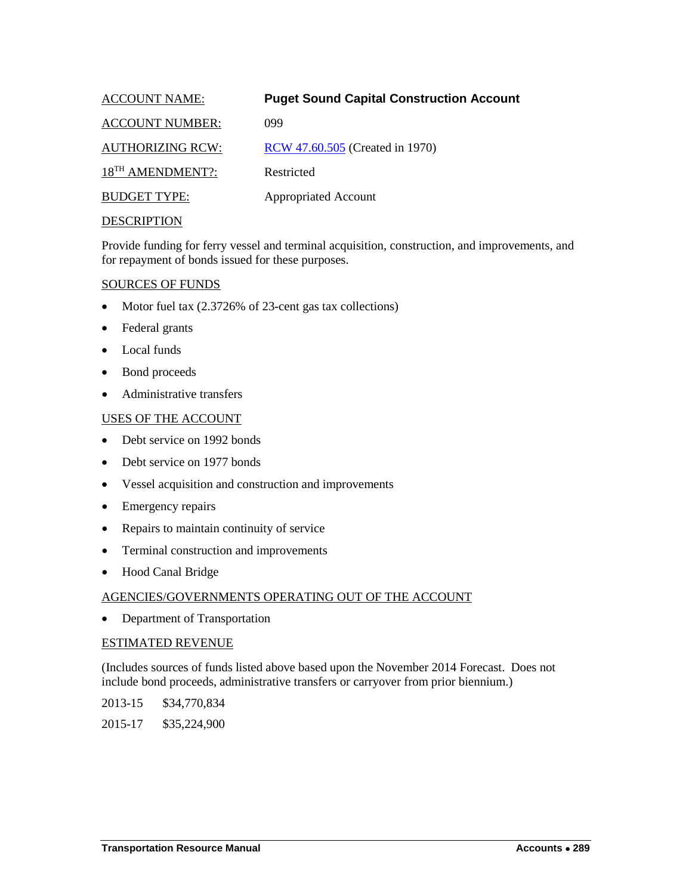<span id="page-36-0"></span>

| <b>ACCOUNT NAME:</b>         | <b>Puget Sound Capital Construction Account</b> |
|------------------------------|-------------------------------------------------|
| <b>ACCOUNT NUMBER:</b>       | 099                                             |
| <b>AUTHORIZING RCW:</b>      | RCW 47.60.505 (Created in 1970)                 |
| 18 <sup>TH</sup> AMENDMENT?: | Restricted                                      |
| <b>BUDGET TYPE:</b>          | <b>Appropriated Account</b>                     |
| <b>DECODIDEIONI</b>          |                                                 |

Provide funding for ferry vessel and terminal acquisition, construction, and improvements, and for repayment of bonds issued for these purposes.

#### SOURCES OF FUNDS

- Motor fuel tax (2.3726% of 23-cent gas tax collections)
- Federal grants
- Local funds
- Bond proceeds
- Administrative transfers

#### USES OF THE ACCOUNT

- Debt service on 1992 bonds
- Debt service on 1977 bonds
- Vessel acquisition and construction and improvements
- Emergency repairs
- Repairs to maintain continuity of service
- Terminal construction and improvements
- Hood Canal Bridge

## AGENCIES/GOVERNMENTS OPERATING OUT OF THE ACCOUNT

• Department of Transportation

#### ESTIMATED REVENUE

(Includes sources of funds listed above based upon the November 2014 Forecast. Does not include bond proceeds, administrative transfers or carryover from prior biennium.)

2013-15 \$34,770,834

2015-17 \$35,224,900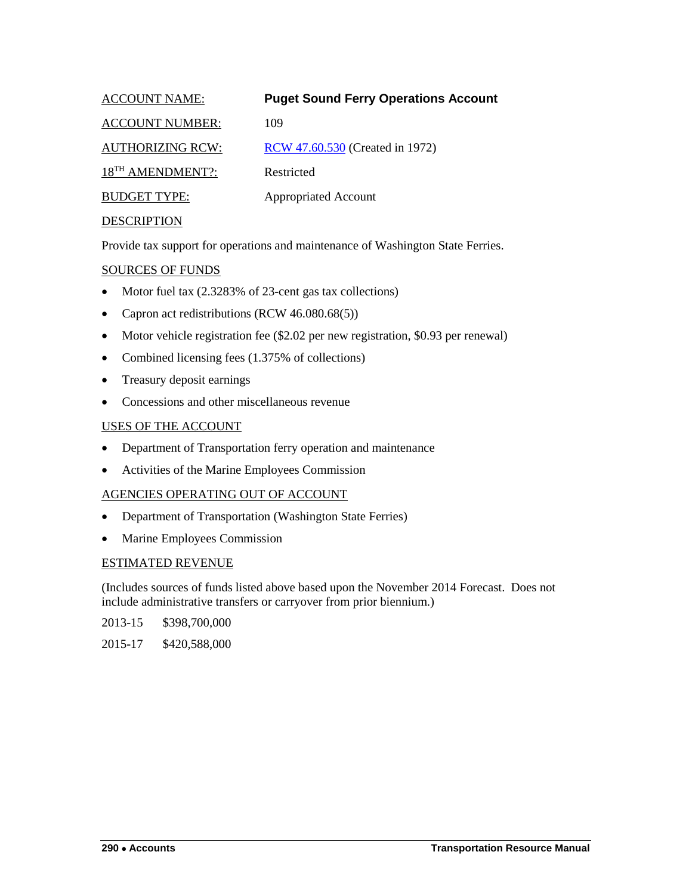<span id="page-37-0"></span>

| <b>ACCOUNT NAME:</b>         | <b>Puget Sound Ferry Operations Account</b> |
|------------------------------|---------------------------------------------|
| <b>ACCOUNT NUMBER:</b>       | 109                                         |
| <b>AUTHORIZING RCW:</b>      | RCW 47.60.530 (Created in 1972)             |
| 18 <sup>TH</sup> AMENDMENT?: | Restricted                                  |
| <b>BUDGET TYPE:</b>          | <b>Appropriated Account</b>                 |
| <b>DECODIDEIOM</b>           |                                             |

Provide tax support for operations and maintenance of Washington State Ferries.

## SOURCES OF FUNDS

- Motor fuel tax (2.3283% of 23-cent gas tax collections)
- Capron act redistributions (RCW 46.080.68(5))
- Motor vehicle registration fee (\$2.02 per new registration, \$0.93 per renewal)
- Combined licensing fees (1.375% of collections)
- Treasury deposit earnings
- Concessions and other miscellaneous revenue

## USES OF THE ACCOUNT

- Department of Transportation ferry operation and maintenance
- Activities of the Marine Employees Commission

## AGENCIES OPERATING OUT OF ACCOUNT

- Department of Transportation (Washington State Ferries)
- Marine Employees Commission

## ESTIMATED REVENUE

(Includes sources of funds listed above based upon the November 2014 Forecast. Does not include administrative transfers or carryover from prior biennium.)

2013-15 \$398,700,000

2015-17 \$420,588,000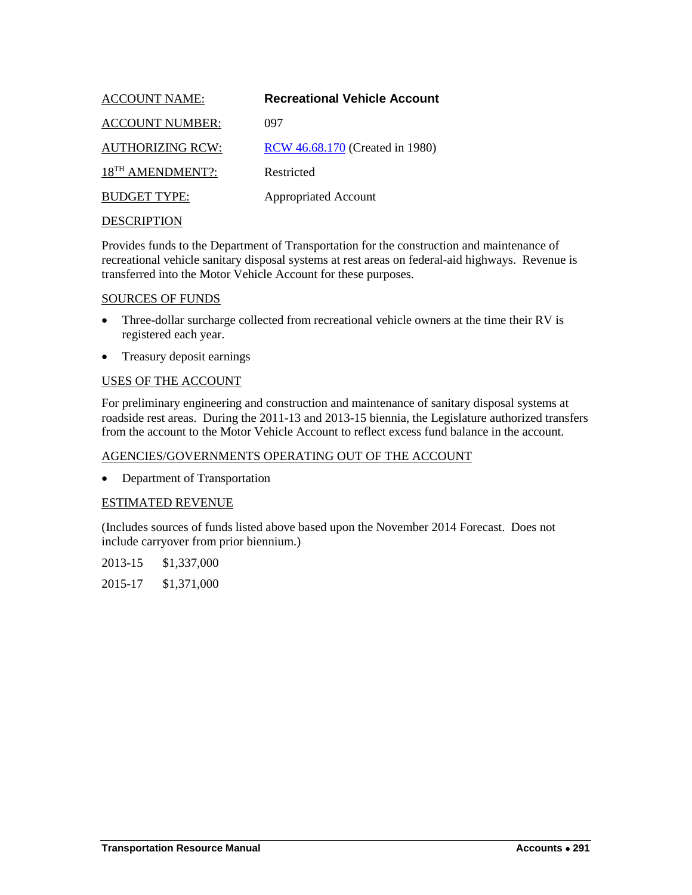<span id="page-38-0"></span>

| <b>ACCOUNT NAME:</b>         | <b>Recreational Vehicle Account</b> |
|------------------------------|-------------------------------------|
| <b>ACCOUNT NUMBER:</b>       | 097                                 |
| <b>AUTHORIZING RCW:</b>      | RCW 46.68.170 (Created in 1980)     |
| 18 <sup>TH</sup> AMENDMENT?: | Restricted                          |
| <b>BUDGET TYPE:</b>          | <b>Appropriated Account</b>         |
|                              |                                     |

Provides funds to the Department of Transportation for the construction and maintenance of recreational vehicle sanitary disposal systems at rest areas on federal-aid highways. Revenue is transferred into the Motor Vehicle Account for these purposes.

#### SOURCES OF FUNDS

- Three-dollar surcharge collected from recreational vehicle owners at the time their RV is registered each year.
- Treasury deposit earnings

## USES OF THE ACCOUNT

For preliminary engineering and construction and maintenance of sanitary disposal systems at roadside rest areas. During the 2011-13 and 2013-15 biennia, the Legislature authorized transfers from the account to the Motor Vehicle Account to reflect excess fund balance in the account.

## AGENCIES/GOVERNMENTS OPERATING OUT OF THE ACCOUNT

• Department of Transportation

## ESTIMATED REVENUE

(Includes sources of funds listed above based upon the November 2014 Forecast. Does not include carryover from prior biennium.)

2013-15 \$1,337,000 2015-17 \$1,371,000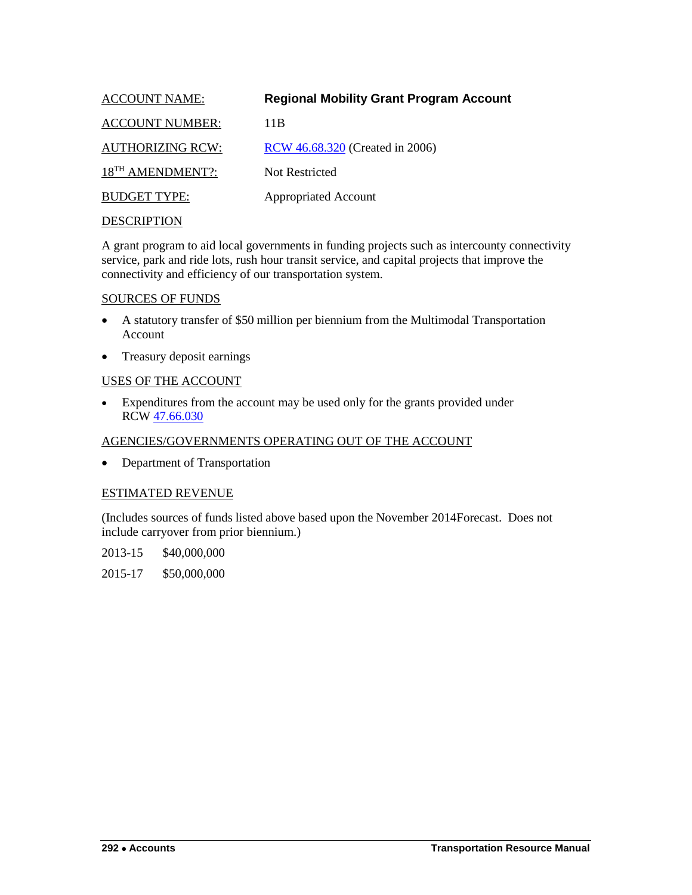<span id="page-39-0"></span>

| <b>ACCOUNT NAME:</b>         | <b>Regional Mobility Grant Program Account</b> |
|------------------------------|------------------------------------------------|
| <b>ACCOUNT NUMBER:</b>       | 11B                                            |
| <b>AUTHORIZING RCW:</b>      | RCW 46.68.320 (Created in 2006)                |
| 18 <sup>TH</sup> AMENDMENT?: | Not Restricted                                 |
| <b>BUDGET TYPE:</b>          | <b>Appropriated Account</b>                    |
|                              |                                                |

A grant program to aid local governments in funding projects such as intercounty connectivity service, park and ride lots, rush hour transit service, and capital projects that improve the connectivity and efficiency of our transportation system.

#### SOURCES OF FUNDS

- A statutory transfer of \$50 million per biennium from the Multimodal Transportation Account
- Treasury deposit earnings

## USES OF THE ACCOUNT

• Expenditures from the account may be used only for the grants provided under RCW [47.66.030](http://apps.leg.wa.gov/rcw/default.aspx?cite=47.66.030)

## AGENCIES/GOVERNMENTS OPERATING OUT OF THE ACCOUNT

• Department of Transportation

## ESTIMATED REVENUE

(Includes sources of funds listed above based upon the November 2014Forecast. Does not include carryover from prior biennium.)

2013-15 \$40,000,000

2015-17 \$50,000,000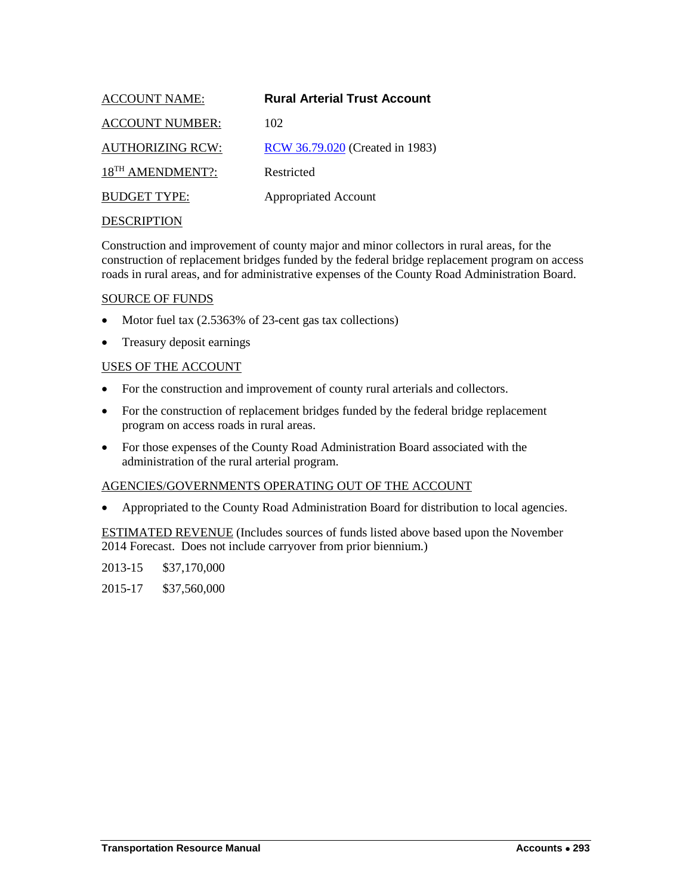<span id="page-40-0"></span>

| <b>ACCOUNT NAME:</b>         | <b>Rural Arterial Trust Account</b> |
|------------------------------|-------------------------------------|
| <b>ACCOUNT NUMBER:</b>       | 102                                 |
| <b>AUTHORIZING RCW:</b>      | RCW 36.79.020 (Created in 1983)     |
| 18 <sup>TH</sup> AMENDMENT?: | Restricted                          |
| <b>BUDGET TYPE:</b>          | <b>Appropriated Account</b>         |
|                              |                                     |

Construction and improvement of county major and minor collectors in rural areas, for the construction of replacement bridges funded by the federal bridge replacement program on access roads in rural areas, and for administrative expenses of the County Road Administration Board.

#### SOURCE OF FUNDS

- Motor fuel tax  $(2.5363\% \text{ of } 23\text{-cent gas tax collections})$
- Treasury deposit earnings

#### USES OF THE ACCOUNT

- For the construction and improvement of county rural arterials and collectors.
- For the construction of replacement bridges funded by the federal bridge replacement program on access roads in rural areas.
- For those expenses of the County Road Administration Board associated with the administration of the rural arterial program.

#### AGENCIES/GOVERNMENTS OPERATING OUT OF THE ACCOUNT

• Appropriated to the County Road Administration Board for distribution to local agencies.

ESTIMATED REVENUE (Includes sources of funds listed above based upon the November 2014 Forecast. Does not include carryover from prior biennium.)

2013-15 \$37,170,000

2015-17 \$37,560,000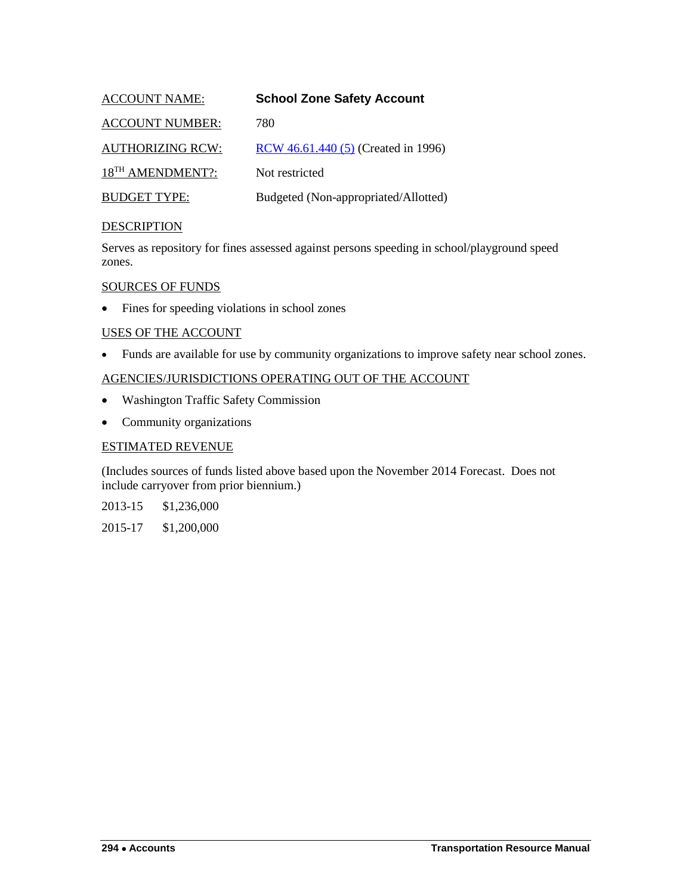<span id="page-41-0"></span>

| <b>ACCOUNT NAME:</b>         | <b>School Zone Safety Account</b>    |
|------------------------------|--------------------------------------|
| <b>ACCOUNT NUMBER:</b>       | 780                                  |
| <b>AUTHORIZING RCW:</b>      | RCW 46.61.440 (5) (Created in 1996)  |
| 18 <sup>TH</sup> AMENDMENT?: | Not restricted                       |
| <b>BUDGET TYPE:</b>          | Budgeted (Non-appropriated/Allotted) |

Serves as repository for fines assessed against persons speeding in school/playground speed zones.

#### SOURCES OF FUNDS

• Fines for speeding violations in school zones

#### USES OF THE ACCOUNT

• Funds are available for use by community organizations to improve safety near school zones.

## AGENCIES/JURISDICTIONS OPERATING OUT OF THE ACCOUNT

- Washington Traffic Safety Commission
- Community organizations

## ESTIMATED REVENUE

(Includes sources of funds listed above based upon the November 2014 Forecast. Does not include carryover from prior biennium.)

2013-15 \$1,236,000

2015-17 \$1,200,000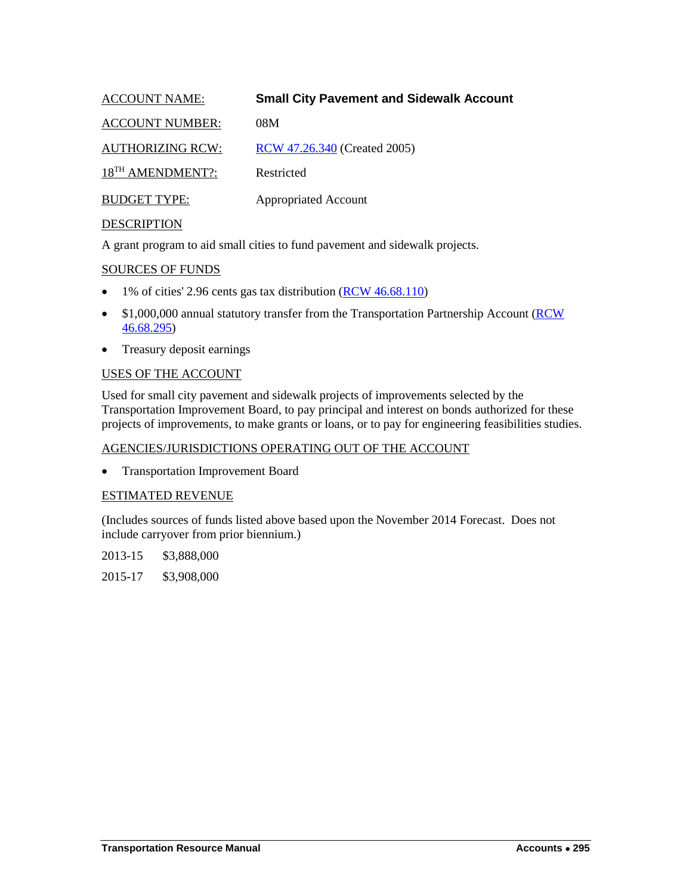<span id="page-42-0"></span>

| <b>ACCOUNT NAME:</b>         | <b>Small City Pavement and Sidewalk Account</b> |
|------------------------------|-------------------------------------------------|
| <b>ACCOUNT NUMBER:</b>       | 08M                                             |
| <b>AUTHORIZING RCW:</b>      | RCW 47.26.340 (Created 2005)                    |
| 18 <sup>TH</sup> AMENDMENT?: | Restricted                                      |
| <b>BUDGET TYPE:</b>          | <b>Appropriated Account</b>                     |
|                              |                                                 |

A grant program to aid small cities to fund pavement and sidewalk projects.

## SOURCES OF FUNDS

- 1% of cities' 2.96 cents gas tax distribution [\(RCW 46.68.110\)](http://apps.leg.wa.gov/rcw/default.aspx?cite=46.68.110)
- \$1,000,000 annual statutory transfer from the Transportation Partnership Account (RCW) [46.68.295\)](http://apps.leg.wa.gov/rcw/default.aspx?cite=46.68.295)
- Treasury deposit earnings

#### USES OF THE ACCOUNT

Used for small city pavement and sidewalk projects of improvements selected by the Transportation Improvement Board, to pay principal and interest on bonds authorized for these projects of improvements, to make grants or loans, or to pay for engineering feasibilities studies.

## AGENCIES/JURISDICTIONS OPERATING OUT OF THE ACCOUNT

• Transportation Improvement Board

## ESTIMATED REVENUE

(Includes sources of funds listed above based upon the November 2014 Forecast. Does not include carryover from prior biennium.)

2013-15 \$3,888,000

2015-17 \$3,908,000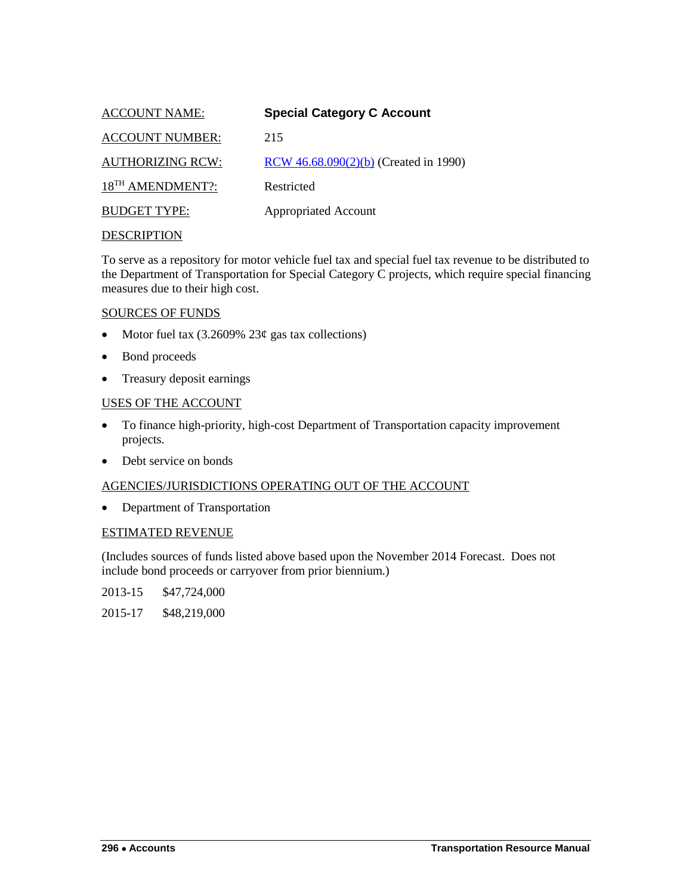<span id="page-43-0"></span>

| <b>ACCOUNT NAME:</b>         | <b>Special Category C Account</b>       |
|------------------------------|-----------------------------------------|
| <b>ACCOUNT NUMBER:</b>       | 215                                     |
| <b>AUTHORIZING RCW:</b>      | RCW $46.68.090(2)(b)$ (Created in 1990) |
| 18 <sup>TH</sup> AMENDMENT?: | Restricted                              |
| <b>BUDGET TYPE:</b>          | <b>Appropriated Account</b>             |
|                              |                                         |

To serve as a repository for motor vehicle fuel tax and special fuel tax revenue to be distributed to the Department of Transportation for Special Category C projects, which require special financing measures due to their high cost.

## SOURCES OF FUNDS

- Motor fuel tax  $(3.2609\% \ 23¢$  gas tax collections)
- Bond proceeds
- Treasury deposit earnings

#### USES OF THE ACCOUNT

- To finance high-priority, high-cost Department of Transportation capacity improvement projects.
- Debt service on bonds

#### AGENCIES/JURISDICTIONS OPERATING OUT OF THE ACCOUNT

• Department of Transportation

#### ESTIMATED REVENUE

(Includes sources of funds listed above based upon the November 2014 Forecast. Does not include bond proceeds or carryover from prior biennium.)

2013-15 \$47,724,000

2015-17 \$48,219,000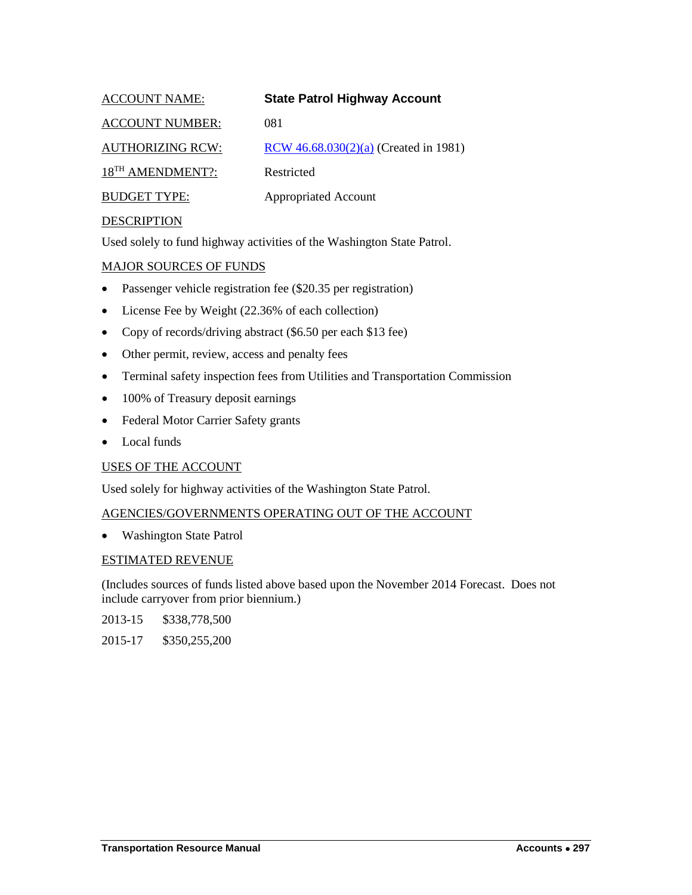<span id="page-44-0"></span>

| <b>ACCOUNT NAME:</b>         | <b>State Patrol Highway Account</b>   |
|------------------------------|---------------------------------------|
| <b>ACCOUNT NUMBER:</b>       | 081                                   |
| <b>AUTHORIZING RCW:</b>      | RCW 46.68.030(2)(a) (Created in 1981) |
| 18 <sup>TH</sup> AMENDMENT?: | Restricted                            |
| <b>BUDGET TYPE:</b>          | <b>Appropriated Account</b>           |

Used solely to fund highway activities of the Washington State Patrol.

## MAJOR SOURCES OF FUNDS

- Passenger vehicle registration fee (\$20.35 per registration)
- License Fee by Weight (22.36% of each collection)
- Copy of records/driving abstract (\$6.50 per each \$13 fee)
- Other permit, review, access and penalty fees
- Terminal safety inspection fees from Utilities and Transportation Commission
- 100% of Treasury deposit earnings
- Federal Motor Carrier Safety grants
- Local funds

## USES OF THE ACCOUNT

Used solely for highway activities of the Washington State Patrol.

## AGENCIES/GOVERNMENTS OPERATING OUT OF THE ACCOUNT

• Washington State Patrol

## ESTIMATED REVENUE

(Includes sources of funds listed above based upon the November 2014 Forecast. Does not include carryover from prior biennium.)

2013-15 \$338,778,500

2015-17 \$350,255,200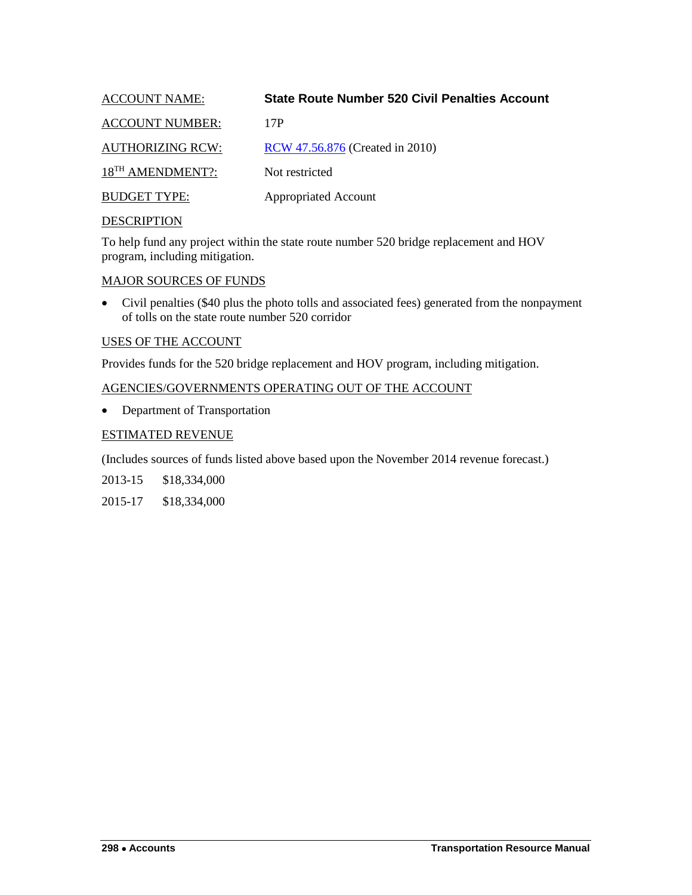<span id="page-45-0"></span>

| <b>ACCOUNT NAME:</b>         | <b>State Route Number 520 Civil Penalties Account</b> |
|------------------------------|-------------------------------------------------------|
| <b>ACCOUNT NUMBER:</b>       | 17P                                                   |
| <b>AUTHORIZING RCW:</b>      | RCW 47.56.876 (Created in 2010)                       |
| 18 <sup>TH</sup> AMENDMENT?: | Not restricted                                        |
| <b>BUDGET TYPE:</b>          | <b>Appropriated Account</b>                           |
|                              |                                                       |

To help fund any project within the state route number 520 bridge replacement and HOV program, including mitigation.

## MAJOR SOURCES OF FUNDS

• Civil penalties (\$40 plus the photo tolls and associated fees) generated from the nonpayment of tolls on the state route number 520 corridor

## USES OF THE ACCOUNT

Provides funds for the 520 bridge replacement and HOV program, including mitigation.

## AGENCIES/GOVERNMENTS OPERATING OUT OF THE ACCOUNT

• Department of Transportation

## ESTIMATED REVENUE

(Includes sources of funds listed above based upon the November 2014 revenue forecast.)

2013-15 \$18,334,000

2015-17 \$18,334,000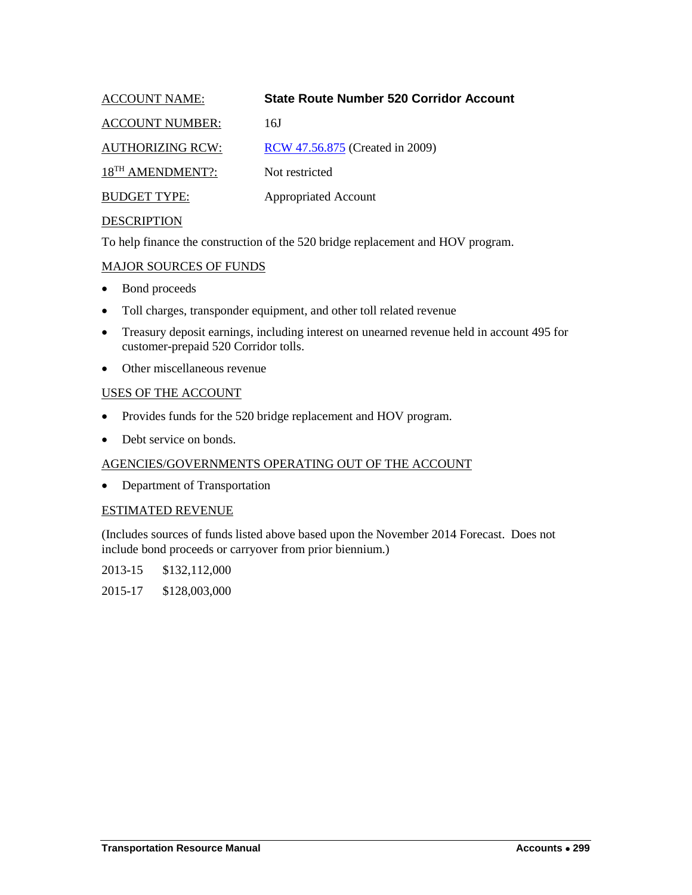<span id="page-46-0"></span>

| <b>ACCOUNT NAME:</b>         | <b>State Route Number 520 Corridor Account</b> |
|------------------------------|------------------------------------------------|
| <b>ACCOUNT NUMBER:</b>       | 16J                                            |
| <b>AUTHORIZING RCW:</b>      | RCW 47.56.875 (Created in 2009)                |
| 18 <sup>TH</sup> AMENDMENT?: | Not restricted                                 |
| <b>BUDGET TYPE:</b>          | <b>Appropriated Account</b>                    |
|                              |                                                |

To help finance the construction of the 520 bridge replacement and HOV program.

## MAJOR SOURCES OF FUNDS

- Bond proceeds
- Toll charges, transponder equipment, and other toll related revenue
- Treasury deposit earnings, including interest on unearned revenue held in account 495 for customer-prepaid 520 Corridor tolls.
- Other miscellaneous revenue

#### USES OF THE ACCOUNT

- Provides funds for the 520 bridge replacement and HOV program.
- Debt service on bonds.

## AGENCIES/GOVERNMENTS OPERATING OUT OF THE ACCOUNT

• Department of Transportation

#### ESTIMATED REVENUE

(Includes sources of funds listed above based upon the November 2014 Forecast. Does not include bond proceeds or carryover from prior biennium.)

2013-15 \$132,112,000

2015-17 \$128,003,000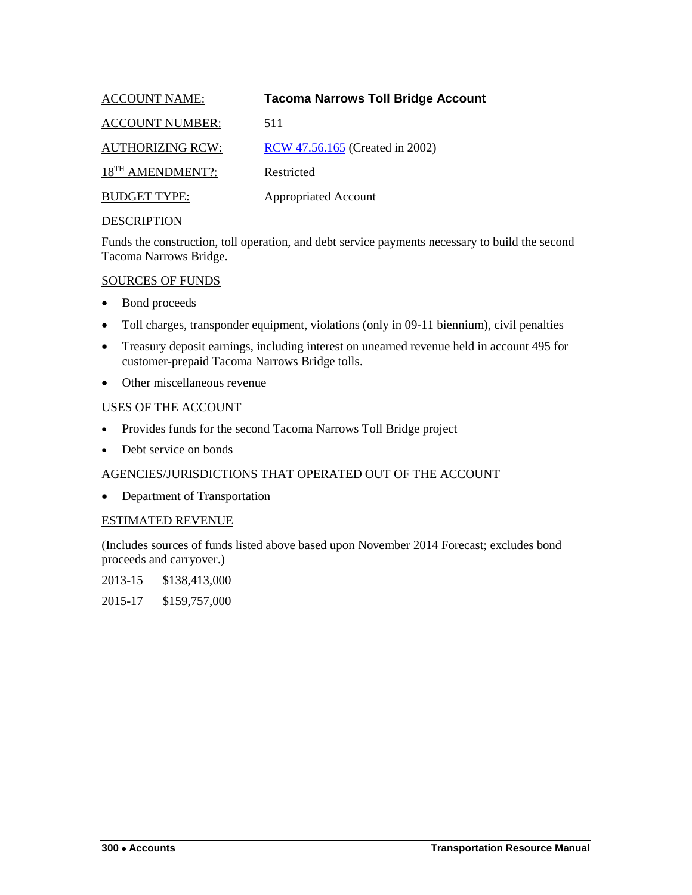<span id="page-47-0"></span>

| <b>ACCOUNT NAME:</b>         | <b>Tacoma Narrows Toll Bridge Account</b> |
|------------------------------|-------------------------------------------|
| <b>ACCOUNT NUMBER:</b>       | 511                                       |
| <b>AUTHORIZING RCW:</b>      | RCW 47.56.165 (Created in 2002)           |
| 18 <sup>TH</sup> AMENDMENT?: | Restricted                                |
| <b>BUDGET TYPE:</b>          | <b>Appropriated Account</b>               |
|                              |                                           |

Funds the construction, toll operation, and debt service payments necessary to build the second Tacoma Narrows Bridge.

## SOURCES OF FUNDS

- Bond proceeds
- Toll charges, transponder equipment, violations (only in 09-11 biennium), civil penalties
- Treasury deposit earnings, including interest on unearned revenue held in account 495 for customer-prepaid Tacoma Narrows Bridge tolls.
- Other miscellaneous revenue

## USES OF THE ACCOUNT

- Provides funds for the second Tacoma Narrows Toll Bridge project
- Debt service on bonds

## AGENCIES/JURISDICTIONS THAT OPERATED OUT OF THE ACCOUNT

• Department of Transportation

## ESTIMATED REVENUE

(Includes sources of funds listed above based upon November 2014 Forecast; excludes bond proceeds and carryover.)

2013-15 \$138,413,000

2015-17 \$159,757,000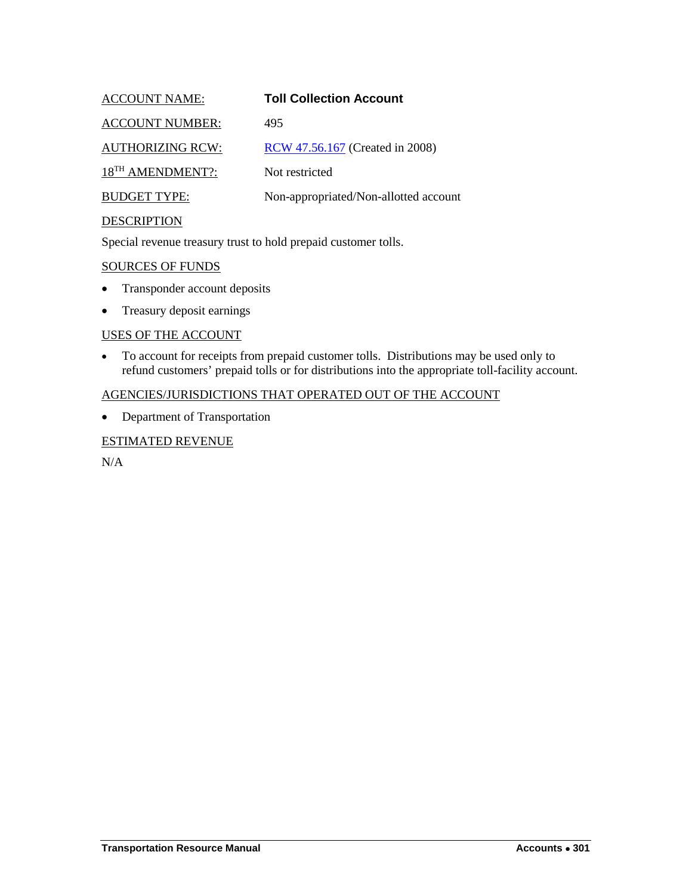<span id="page-48-0"></span>

| <b>ACCOUNT NAME:</b>         | <b>Toll Collection Account</b>        |
|------------------------------|---------------------------------------|
| <b>ACCOUNT NUMBER:</b>       | 495                                   |
| <b>AUTHORIZING RCW:</b>      | RCW 47.56.167 (Created in 2008)       |
| 18 <sup>TH</sup> AMENDMENT?: | Not restricted                        |
| <b>BUDGET TYPE:</b>          | Non-appropriated/Non-allotted account |
| DECCD IDTION                 |                                       |

Special revenue treasury trust to hold prepaid customer tolls.

SOURCES OF FUNDS

- Transponder account deposits
- Treasury deposit earnings

#### USES OF THE ACCOUNT

• To account for receipts from prepaid customer tolls. Distributions may be used only to refund customers' prepaid tolls or for distributions into the appropriate toll-facility account.

## AGENCIES/JURISDICTIONS THAT OPERATED OUT OF THE ACCOUNT

• Department of Transportation

#### ESTIMATED REVENUE

N/A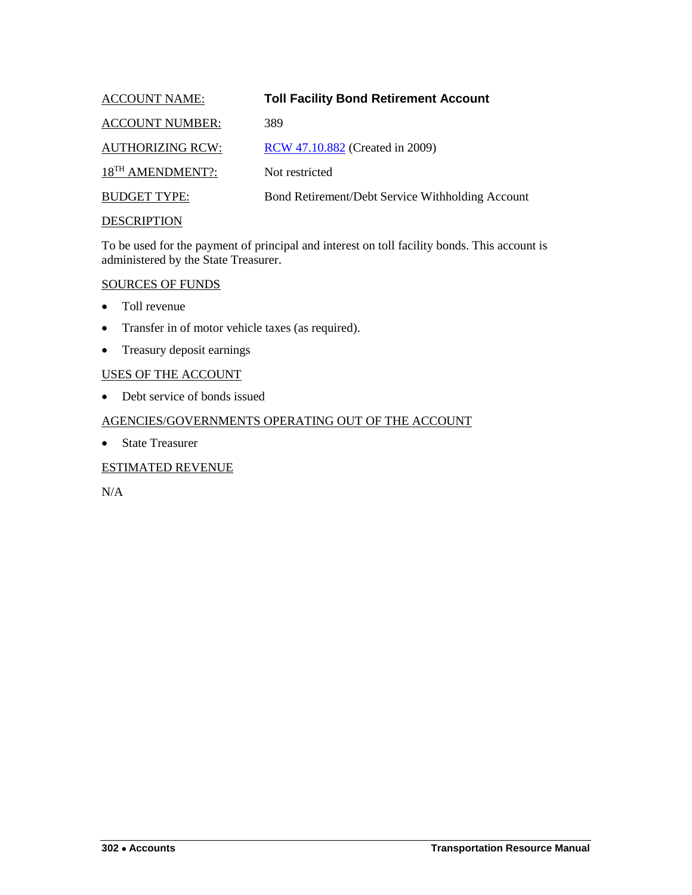<span id="page-49-0"></span>

| <b>ACCOUNT NAME:</b>         | <b>Toll Facility Bond Retirement Account</b>     |
|------------------------------|--------------------------------------------------|
| <b>ACCOUNT NUMBER:</b>       | 389                                              |
| <b>AUTHORIZING RCW:</b>      | RCW 47.10.882 (Created in 2009)                  |
| 18 <sup>TH</sup> AMENDMENT?: | Not restricted                                   |
| <b>BUDGET TYPE:</b>          | Bond Retirement/Debt Service Withholding Account |
| <b>DESCRIPTION</b>           |                                                  |

To be used for the payment of principal and interest on toll facility bonds. This account is administered by the State Treasurer.

#### SOURCES OF FUNDS

- Toll revenue
- Transfer in of motor vehicle taxes (as required).
- Treasury deposit earnings

## USES OF THE ACCOUNT

• Debt service of bonds issued

#### AGENCIES/GOVERNMENTS OPERATING OUT OF THE ACCOUNT

• State Treasurer

## ESTIMATED REVENUE

N/A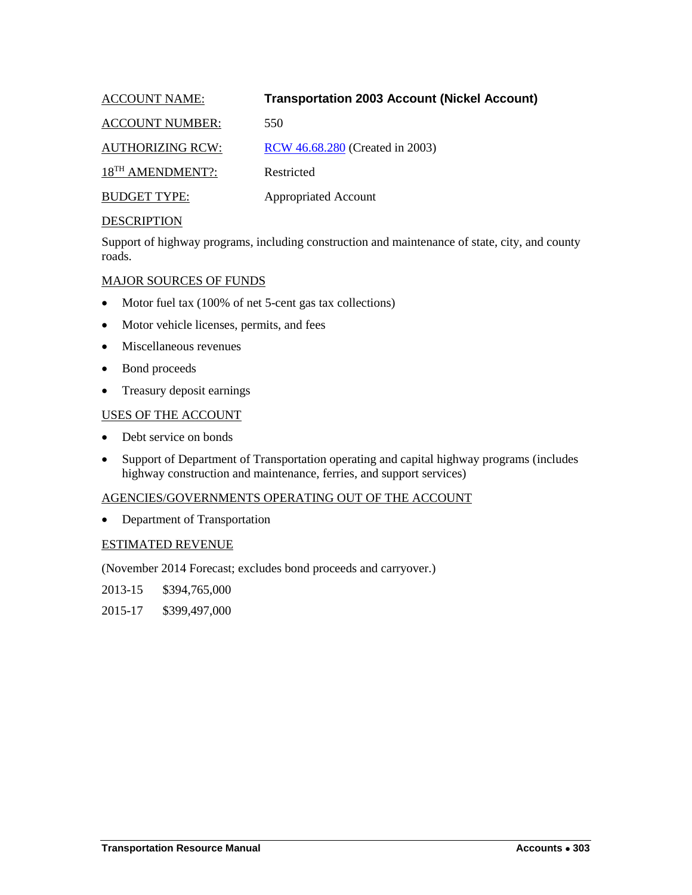<span id="page-50-0"></span>

| <b>ACCOUNT NAME:</b>         | <b>Transportation 2003 Account (Nickel Account)</b> |
|------------------------------|-----------------------------------------------------|
| <b>ACCOUNT NUMBER:</b>       | 550                                                 |
| <b>AUTHORIZING RCW:</b>      | RCW 46.68.280 (Created in 2003)                     |
| 18 <sup>TH</sup> AMENDMENT?: | Restricted                                          |
| <b>BUDGET TYPE:</b>          | <b>Appropriated Account</b>                         |

Support of highway programs, including construction and maintenance of state, city, and county roads.

## MAJOR SOURCES OF FUNDS

- Motor fuel tax (100% of net 5-cent gas tax collections)
- Motor vehicle licenses, permits, and fees
- Miscellaneous revenues
- Bond proceeds
- Treasury deposit earnings

#### USES OF THE ACCOUNT

- Debt service on bonds
- Support of Department of Transportation operating and capital highway programs (includes highway construction and maintenance, ferries, and support services)

## AGENCIES/GOVERNMENTS OPERATING OUT OF THE ACCOUNT

• Department of Transportation

#### ESTIMATED REVENUE

(November 2014 Forecast; excludes bond proceeds and carryover.)

2013-15 \$394,765,000

2015-17 \$399,497,000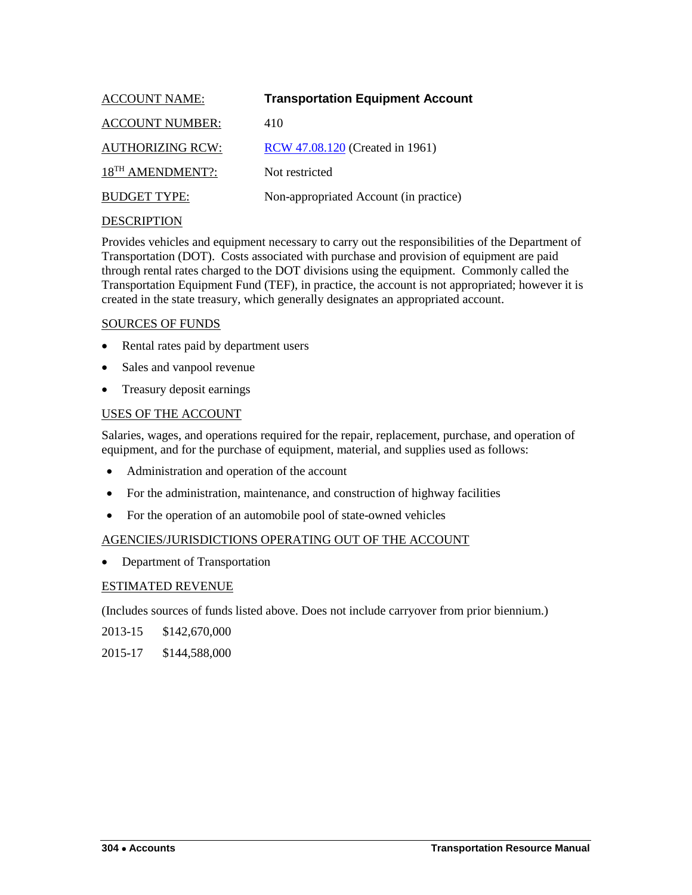<span id="page-51-0"></span>

| <b>ACCOUNT NAME:</b>         | <b>Transportation Equipment Account</b> |
|------------------------------|-----------------------------------------|
| <b>ACCOUNT NUMBER:</b>       | 410                                     |
| <b>AUTHORIZING RCW:</b>      | RCW 47.08.120 (Created in 1961)         |
| 18 <sup>TH</sup> AMENDMENT?: | Not restricted                          |
| <b>BUDGET TYPE:</b>          | Non-appropriated Account (in practice)  |
|                              |                                         |

Provides vehicles and equipment necessary to carry out the responsibilities of the Department of Transportation (DOT). Costs associated with purchase and provision of equipment are paid through rental rates charged to the DOT divisions using the equipment. Commonly called the Transportation Equipment Fund (TEF), in practice, the account is not appropriated; however it is created in the state treasury, which generally designates an appropriated account.

## SOURCES OF FUNDS

- Rental rates paid by department users
- Sales and vanpool revenue
- Treasury deposit earnings

## USES OF THE ACCOUNT

Salaries, wages, and operations required for the repair, replacement, purchase, and operation of equipment, and for the purchase of equipment, material, and supplies used as follows:

- Administration and operation of the account
- For the administration, maintenance, and construction of highway facilities
- For the operation of an automobile pool of state-owned vehicles

## AGENCIES/JURISDICTIONS OPERATING OUT OF THE ACCOUNT

• Department of Transportation

## ESTIMATED REVENUE

(Includes sources of funds listed above. Does not include carryover from prior biennium.)

- 2013-15 \$142,670,000
- 2015-17 \$144,588,000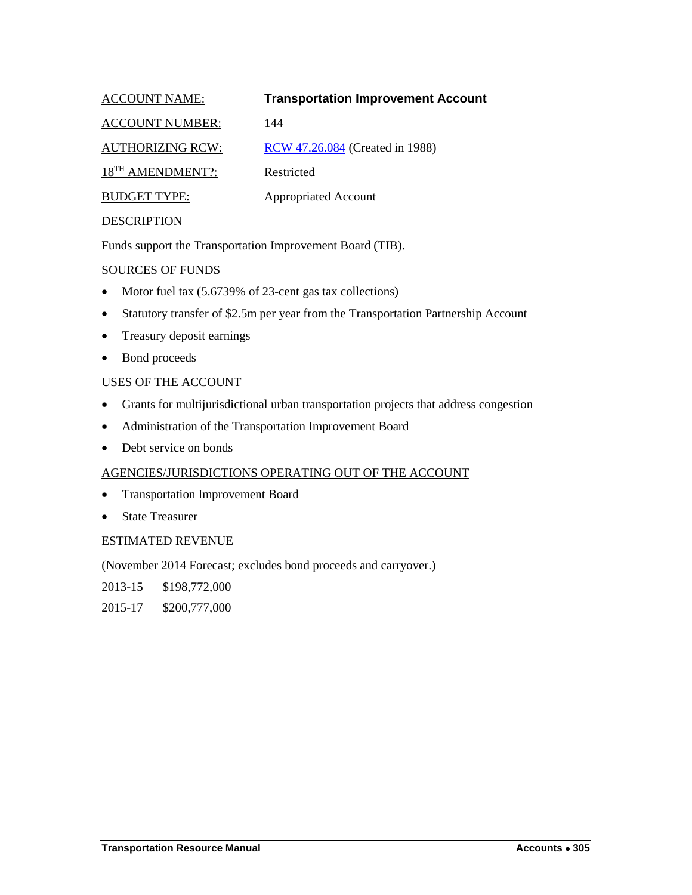<span id="page-52-0"></span>

| <b>ACCOUNT NAME:</b>         | <b>Transportation Improvement Account</b> |
|------------------------------|-------------------------------------------|
| <b>ACCOUNT NUMBER:</b>       | 144                                       |
| <b>AUTHORIZING RCW:</b>      | RCW 47.26.084 (Created in 1988)           |
| 18 <sup>TH</sup> AMENDMENT?: | Restricted                                |
| <b>BUDGET TYPE:</b>          | <b>Appropriated Account</b>               |
|                              |                                           |

Funds support the Transportation Improvement Board (TIB).

## SOURCES OF FUNDS

- Motor fuel tax (5.6739% of 23-cent gas tax collections)
- Statutory transfer of \$2.5m per year from the Transportation Partnership Account
- Treasury deposit earnings
- Bond proceeds

## USES OF THE ACCOUNT

- Grants for multijurisdictional urban transportation projects that address congestion
- Administration of the Transportation Improvement Board
- Debt service on bonds

## AGENCIES/JURISDICTIONS OPERATING OUT OF THE ACCOUNT

- Transportation Improvement Board
- State Treasurer

## ESTIMATED REVENUE

(November 2014 Forecast; excludes bond proceeds and carryover.)

2013-15 \$198,772,000

2015-17 \$200,777,000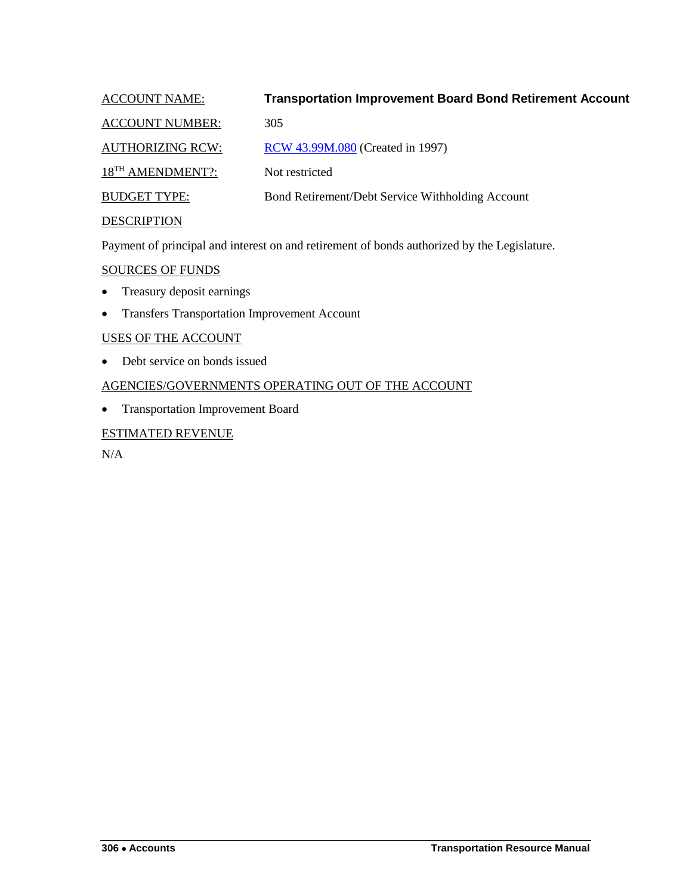<span id="page-53-0"></span>

| <b>ACCOUNT NAME:</b>         | <b>Transportation Improvement Board Bond Retirement Account</b> |
|------------------------------|-----------------------------------------------------------------|
| <b>ACCOUNT NUMBER:</b>       | 305                                                             |
| <b>AUTHORIZING RCW:</b>      | RCW 43.99M.080 (Created in 1997)                                |
| 18 <sup>TH</sup> AMENDMENT?: | Not restricted                                                  |
| <b>BUDGET TYPE:</b>          | Bond Retirement/Debt Service Withholding Account                |
| <b>DESCRIPTION</b>           |                                                                 |

Payment of principal and interest on and retirement of bonds authorized by the Legislature.

SOURCES OF FUNDS

- Treasury deposit earnings
- Transfers Transportation Improvement Account

## USES OF THE ACCOUNT

• Debt service on bonds issued

## AGENCIES/GOVERNMENTS OPERATING OUT OF THE ACCOUNT

• Transportation Improvement Board

## ESTIMATED REVENUE

N/A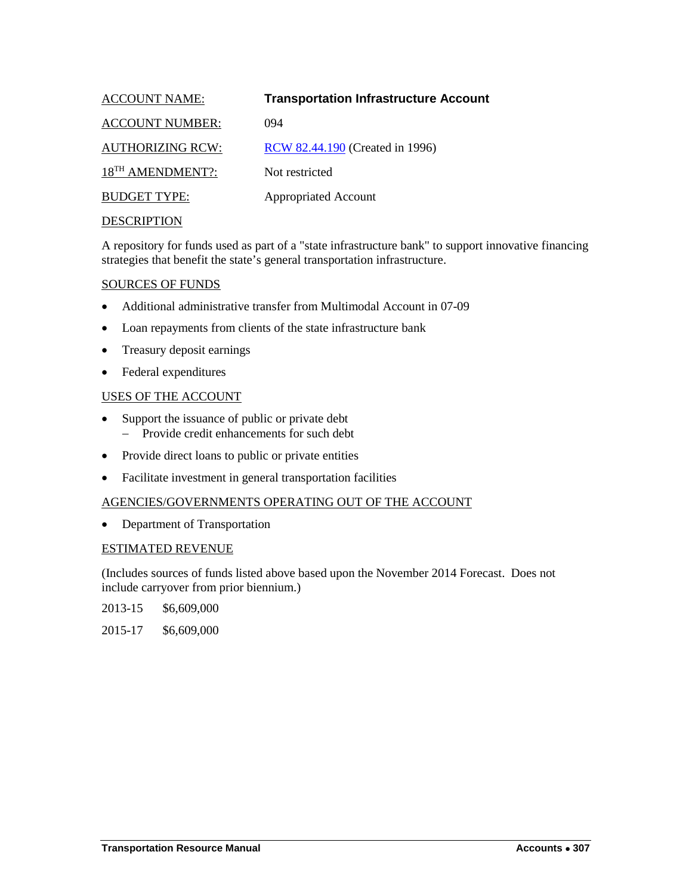<span id="page-54-0"></span>

| <b>ACCOUNT NAME:</b>         | <b>Transportation Infrastructure Account</b> |
|------------------------------|----------------------------------------------|
| <b>ACCOUNT NUMBER:</b>       | 094                                          |
| <b>AUTHORIZING RCW:</b>      | RCW 82.44.190 (Created in 1996)              |
| 18 <sup>TH</sup> AMENDMENT?: | Not restricted                               |
| <b>BUDGET TYPE:</b>          | <b>Appropriated Account</b>                  |
| <b>DECODIDEIOM</b>           |                                              |

A repository for funds used as part of a "state infrastructure bank" to support innovative financing strategies that benefit the state's general transportation infrastructure.

#### SOURCES OF FUNDS

- Additional administrative transfer from Multimodal Account in 07-09
- Loan repayments from clients of the state infrastructure bank
- Treasury deposit earnings
- Federal expenditures

#### USES OF THE ACCOUNT

- Support the issuance of public or private debt
	- − Provide credit enhancements for such debt
- Provide direct loans to public or private entities
- Facilitate investment in general transportation facilities

#### AGENCIES/GOVERNMENTS OPERATING OUT OF THE ACCOUNT

• Department of Transportation

#### ESTIMATED REVENUE

(Includes sources of funds listed above based upon the November 2014 Forecast. Does not include carryover from prior biennium.)

- 2013-15 \$6,609,000
- 2015-17 \$6,609,000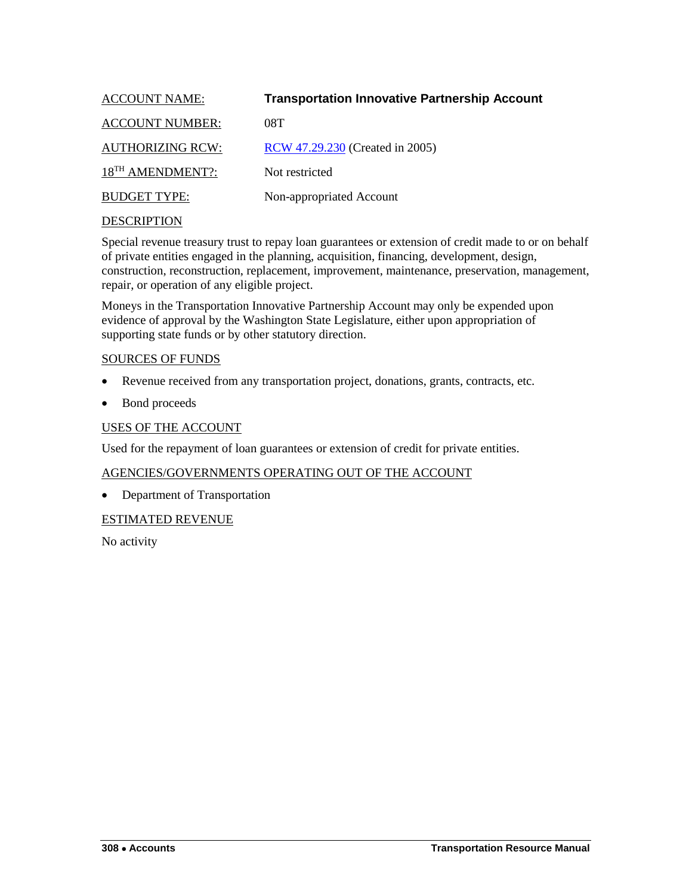<span id="page-55-0"></span>

| <b>Transportation Innovative Partnership Account</b> |
|------------------------------------------------------|
|                                                      |
| RCW 47.29.230 (Created in 2005)                      |
|                                                      |
| Non-appropriated Account                             |
|                                                      |

Special revenue treasury trust to repay loan guarantees or extension of credit made to or on behalf of private entities engaged in the planning, acquisition, financing, development, design, construction, reconstruction, replacement, improvement, maintenance, preservation, management, repair, or operation of any eligible project.

Moneys in the Transportation Innovative Partnership Account may only be expended upon evidence of approval by the Washington State Legislature, either upon appropriation of supporting state funds or by other statutory direction.

#### SOURCES OF FUNDS

- Revenue received from any transportation project, donations, grants, contracts, etc.
- Bond proceeds

#### USES OF THE ACCOUNT

Used for the repayment of loan guarantees or extension of credit for private entities.

## AGENCIES/GOVERNMENTS OPERATING OUT OF THE ACCOUNT

• Department of Transportation

#### ESTIMATED REVENUE

No activity